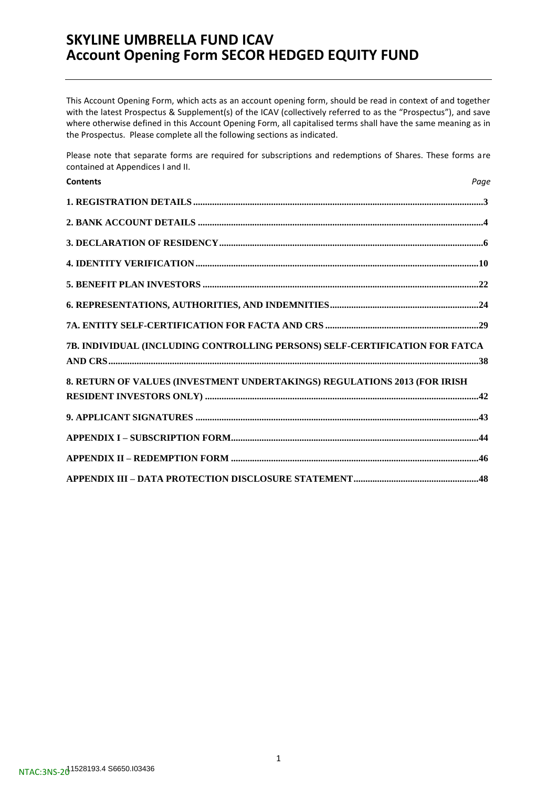This Account Opening Form, which acts as an account opening form, should be read in context of and together with the latest Prospectus & Supplement(s) of the ICAV (collectively referred to as the "Prospectus"), and save where otherwise defined in this Account Opening Form, all capitalised terms shall have the same meaning as in the Prospectus. Please complete all the following sections as indicated.

Please note that separate forms are required for subscriptions and redemptions of Shares. These forms are contained at Appendices I and II.

| <b>Contents</b>                                                             | Page |
|-----------------------------------------------------------------------------|------|
|                                                                             |      |
|                                                                             |      |
|                                                                             |      |
|                                                                             |      |
|                                                                             |      |
|                                                                             |      |
|                                                                             |      |
| 7B. INDIVIDUAL (INCLUDING CONTROLLING PERSONS) SELF-CERTIFICATION FOR FATCA |      |
| 8. RETURN OF VALUES (INVESTMENT UNDERTAKINGS) REGULATIONS 2013 (FOR IRISH   |      |
|                                                                             |      |
|                                                                             |      |
|                                                                             |      |
|                                                                             |      |
|                                                                             |      |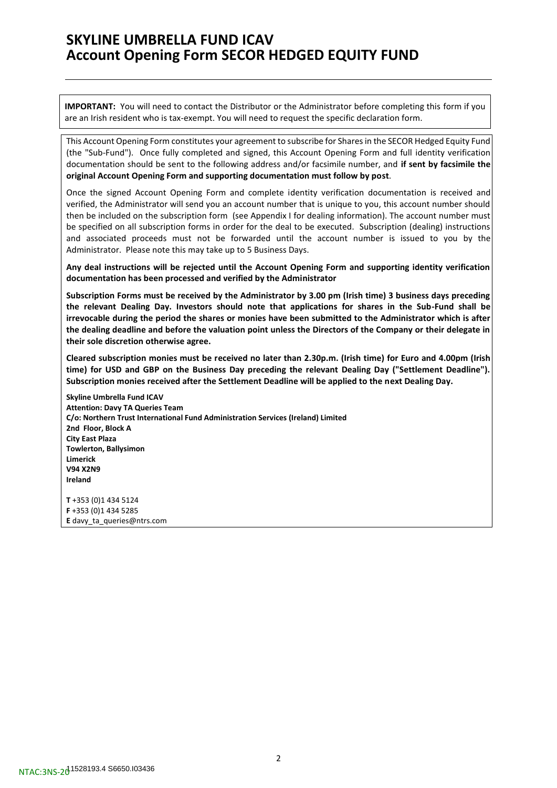**IMPORTANT:** You will need to contact the Distributor or the Administrator before completing this form if you are an Irish resident who is tax-exempt. You will need to request the specific declaration form.

This Account Opening Form constitutes your agreement to subscribe for Shares in the SECOR Hedged Equity Fund (the "Sub-Fund"). Once fully completed and signed, this Account Opening Form and full identity verification documentation should be sent to the following address and/or facsimile number, and **if sent by facsimile the original Account Opening Form and supporting documentation must follow by post**.

Once the signed Account Opening Form and complete identity verification documentation is received and verified, the Administrator will send you an account number that is unique to you, this account number should then be included on the subscription form (see Appendix I for dealing information). The account number must be specified on all subscription forms in order for the deal to be executed. Subscription (dealing) instructions and associated proceeds must not be forwarded until the account number is issued to you by the Administrator. Please note this may take up to 5 Business Days.

**Any deal instructions will be rejected until the Account Opening Form and supporting identity verification documentation has been processed and verified by the Administrator**

**Subscription Forms must be received by the Administrator by 3.00 pm (Irish time) 3 business days preceding the relevant Dealing Day. Investors should note that applications for shares in the Sub-Fund shall be irrevocable during the period the shares or monies have been submitted to the Administrator which is after the dealing deadline and before the valuation point unless the Directors of the Company or their delegate in their sole discretion otherwise agree.** 

**Cleared subscription monies must be received no later than 2.30p.m. (Irish time) for Euro and 4.00pm (Irish time) for USD and GBP on the Business Day preceding the relevant Dealing Day ("Settlement Deadline"). Subscription monies received after the Settlement Deadline will be applied to the next Dealing Day.**

**Skyline Umbrella Fund ICAV Attention: Davy TA Queries Team C/o: Northern Trust International Fund Administration Services (Ireland) Limited 2nd Floor, Block A City East Plaza Towlerton, Ballysimon Limerick V94 X2N9 Ireland**

**T** +353 (0)1 434 5124 **F** +353 (0)1 434 5285 **E** [davy\\_ta\\_queries@ntrs.com](mailto:davy_ta_queries@ntrs.com)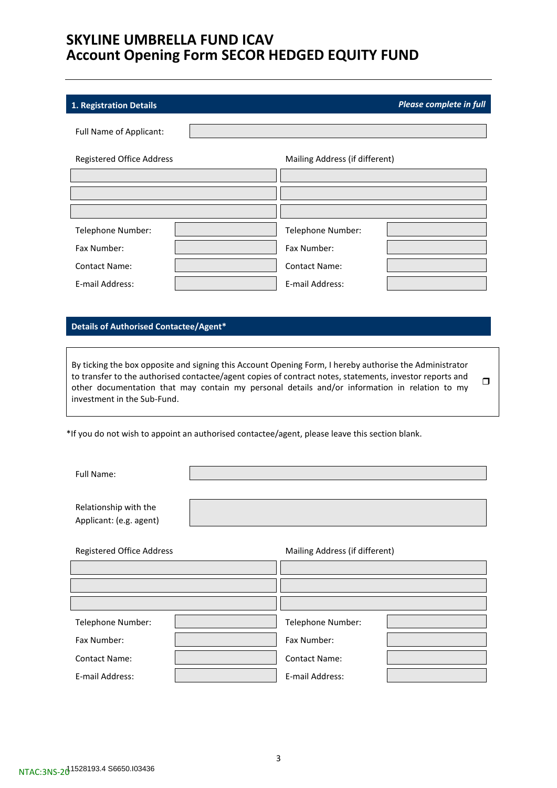### <span id="page-2-0"></span>**1. Registration Details** *Please complete in full*

Full Name of Applicant: Registered Office Address Mailing Address (if different) Telephone Number:  $\begin{vmatrix} 1 & 1 & 1 \\ 1 & 1 & 1 \\ 1 & 1 & 1 \end{vmatrix}$  Telephone Number: Fax Number: Fax Number: Contact Name: Contact Name: E-mail Address: E-mail Address:

### **Details of Authorised Contactee/Agent\***

By ticking the box opposite and signing this Account Opening Form, I hereby authorise the Administrator to transfer to the authorised contactee/agent copies of contract notes, statements, investor reports and other documentation that may contain my personal details and/or information in relation to my investment in the Sub-Fund.  $\Box$ 

\*If you do not wish to appoint an authorised contactee/agent, please leave this section blank.

Full Name:

Relationship with the Applicant: (e.g. agent)

Registered Office Address

| Mailing Address (if different) |  |
|--------------------------------|--|
|--------------------------------|--|

| Telephone Number:    | Telephone Number:    |  |
|----------------------|----------------------|--|
| Fax Number:          | Fax Number:          |  |
| <b>Contact Name:</b> | <b>Contact Name:</b> |  |
| E-mail Address:      | E-mail Address:      |  |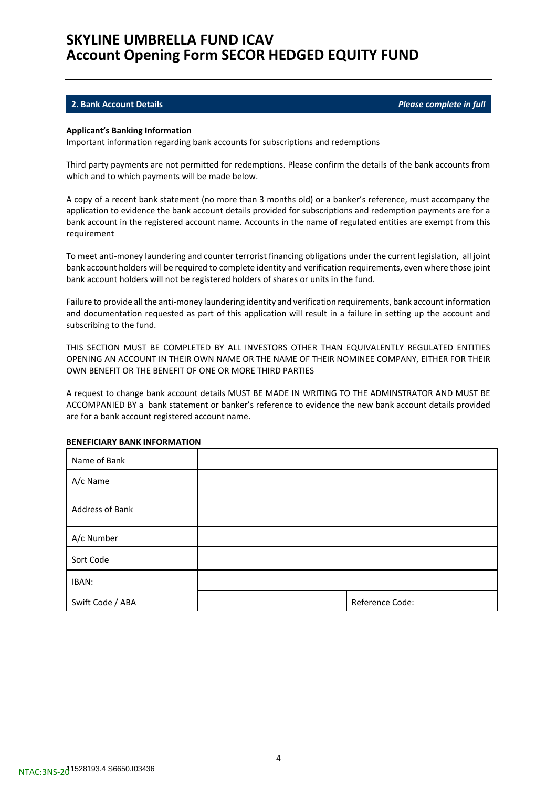### <span id="page-3-0"></span>**2. Bank Account Details** *Please complete in full*

#### **Applicant's Banking Information**

Important information regarding bank accounts for subscriptions and redemptions

Third party payments are not permitted for redemptions. Please confirm the details of the bank accounts from which and to which payments will be made below.

A copy of a recent bank statement (no more than 3 months old) or a banker's reference, must accompany the application to evidence the bank account details provided for subscriptions and redemption payments are for a bank account in the registered account name. Accounts in the name of regulated entities are exempt from this requirement

To meet anti-money laundering and counter terrorist financing obligations under the current legislation, all joint bank account holders will be required to complete identity and verification requirements, even where those joint bank account holders will not be registered holders of shares or units in the fund.

Failure to provide all the anti-money laundering identity and verification requirements, bank account information and documentation requested as part of this application will result in a failure in setting up the account and subscribing to the fund.

THIS SECTION MUST BE COMPLETED BY ALL INVESTORS OTHER THAN EQUIVALENTLY REGULATED ENTITIES OPENING AN ACCOUNT IN THEIR OWN NAME OR THE NAME OF THEIR NOMINEE COMPANY, EITHER FOR THEIR OWN BENEFIT OR THE BENEFIT OF ONE OR MORE THIRD PARTIES

A request to change bank account details MUST BE MADE IN WRITING TO THE ADMINSTRATOR AND MUST BE ACCOMPANIED BY a bank statement or banker's reference to evidence the new bank account details provided are for a bank account registered account name.

| Name of Bank     |                 |
|------------------|-----------------|
| A/c Name         |                 |
| Address of Bank  |                 |
| A/c Number       |                 |
| Sort Code        |                 |
| IBAN:            |                 |
| Swift Code / ABA | Reference Code: |

#### **BENEFICIARY BANK INFORMATION**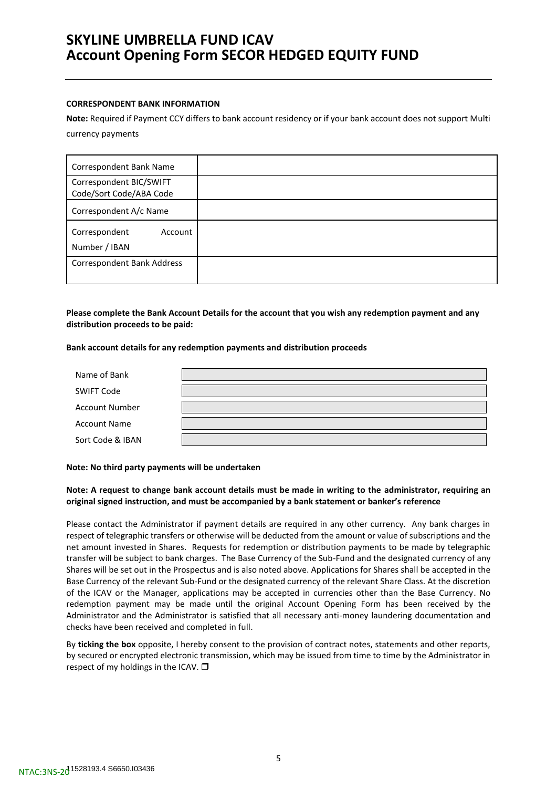### **CORRESPONDENT BANK INFORMATION**

**Note:** Required if Payment CCY differs to bank account residency or if your bank account does not support Multi currency payments

| Correspondent Bank Name                            |  |
|----------------------------------------------------|--|
| Correspondent BIC/SWIFT<br>Code/Sort Code/ABA Code |  |
| Correspondent A/c Name                             |  |
| Correspondent<br>Account<br>Number / IBAN          |  |
| <b>Correspondent Bank Address</b>                  |  |

**Please complete the Bank Account Details for the account that you wish any redemption payment and any distribution proceeds to be paid:**

#### **Bank account details for any redemption payments and distribution proceeds**

| Name of Bank          |  |
|-----------------------|--|
| <b>SWIFT Code</b>     |  |
| <b>Account Number</b> |  |
| <b>Account Name</b>   |  |
| Sort Code & IBAN      |  |

### **Note: No third party payments will be undertaken**

**Note: A request to change bank account details must be made in writing to the administrator, requiring an original signed instruction, and must be accompanied by a bank statement or banker's reference**

Please contact the Administrator if payment details are required in any other currency. Any bank charges in respect of telegraphic transfers or otherwise will be deducted from the amount or value of subscriptions and the net amount invested in Shares. Requests for redemption or distribution payments to be made by telegraphic transfer will be subject to bank charges. The Base Currency of the Sub-Fund and the designated currency of any Shares will be set out in the Prospectus and is also noted above. Applications for Shares shall be accepted in the Base Currency of the relevant Sub-Fund or the designated currency of the relevant Share Class. At the discretion of the ICAV or the Manager, applications may be accepted in currencies other than the Base Currency. No redemption payment may be made until the original Account Opening Form has been received by the Administrator and the Administrator is satisfied that all necessary anti-money laundering documentation and checks have been received and completed in full.

By **ticking the box** opposite, I hereby consent to the provision of contract notes, statements and other reports, by secured or encrypted electronic transmission, which may be issued from time to time by the Administrator in respect of my holdings in the ICAV.  $\square$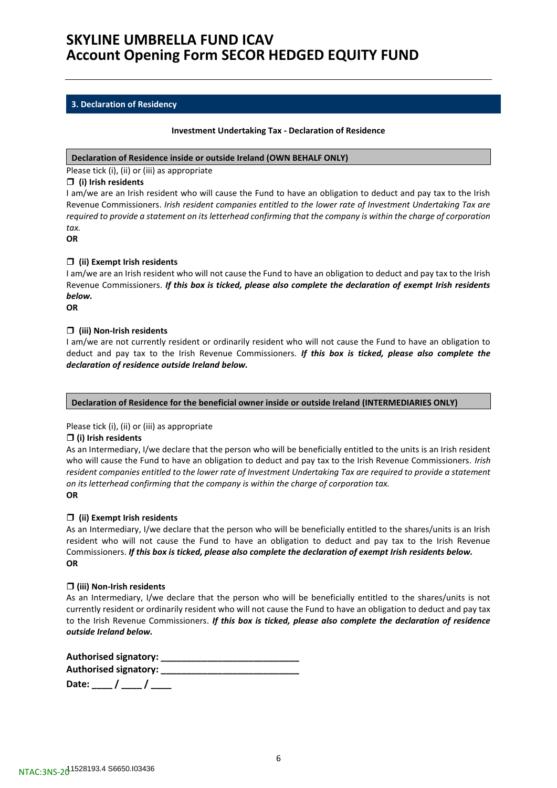### <span id="page-5-0"></span>**3. Declaration of Residency**

### **Investment Undertaking Tax - Declaration of Residence**

#### **Declaration of Residence inside or outside Ireland (OWN BEHALF ONLY)**

Please tick (i), (ii) or (iii) as appropriate

### **(i) Irish residents**

I am/we are an Irish resident who will cause the Fund to have an obligation to deduct and pay tax to the Irish Revenue Commissioners. *Irish resident companies entitled to the lower rate of Investment Undertaking Tax are required to provide a statement on its letterhead confirming that the company is within the charge of corporation tax.*

**OR**

### **(ii) Exempt Irish residents**

I am/we are an Irish resident who will not cause the Fund to have an obligation to deduct and pay tax to the Irish Revenue Commissioners. *If this box is ticked, please also complete the declaration of exempt Irish residents below.*

**OR**

### **(iii) Non-Irish residents**

I am/we are not currently resident or ordinarily resident who will not cause the Fund to have an obligation to deduct and pay tax to the Irish Revenue Commissioners. *If this box is ticked, please also complete the declaration of residence outside Ireland below.*

### **Declaration of Residence for the beneficial owner inside or outside Ireland (INTERMEDIARIES ONLY)**

### Please tick (i), (ii) or (iii) as appropriate

#### **(i) Irish residents**

As an Intermediary, I/we declare that the person who will be beneficially entitled to the units is an Irish resident who will cause the Fund to have an obligation to deduct and pay tax to the Irish Revenue Commissioners. *Irish resident companies entitled to the lower rate of Investment Undertaking Tax are required to provide a statement on its letterhead confirming that the company is within the charge of corporation tax.* **OR**

### **(ii) Exempt Irish residents**

As an Intermediary, I/we declare that the person who will be beneficially entitled to the shares/units is an Irish resident who will not cause the Fund to have an obligation to deduct and pay tax to the Irish Revenue Commissioners. *If this box is ticked, please also complete the declaration of exempt Irish residents below.* **OR**

#### **(iii) Non-Irish residents**

As an Intermediary, I/we declare that the person who will be beneficially entitled to the shares/units is not currently resident or ordinarily resident who will not cause the Fund to have an obligation to deduct and pay tax to the Irish Revenue Commissioners. *If this box is ticked, please also complete the declaration of residence outside Ireland below.*

| Authorised signatory: |  |
|-----------------------|--|
| Authorised signatory: |  |
| Date:                 |  |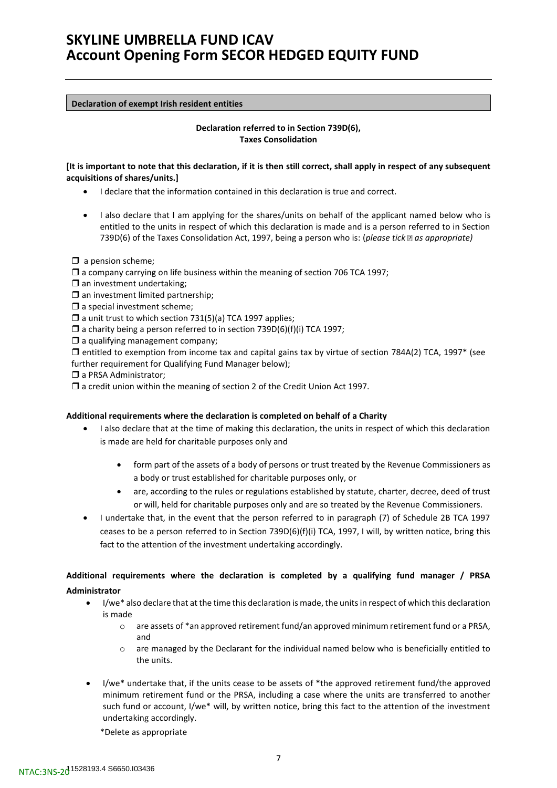#### **Declaration of exempt Irish resident entities**

### **Declaration referred to in Section 739D(6), Taxes Consolidation**

### **[It is important to note that this declaration, if it is then still correct, shall apply in respect of any subsequent acquisitions of shares/units.]**

- I declare that the information contained in this declaration is true and correct.
- I also declare that I am applying for the shares/units on behalf of the applicant named below who is entitled to the units in respect of which this declaration is made and is a person referred to in Section 739D(6) of the Taxes Consolidation Act, 1997, being a person who is: (*please tick* as appropriate)

 $\Box$  a pension scheme;

- $\Box$  a company carrying on life business within the meaning of section 706 TCA 1997;
- $\square$  an investment undertaking:
- $\square$  an investment limited partnership;
- $\square$  a special investment scheme;
- $\Box$  a unit trust to which section 731(5)(a) TCA 1997 applies;
- $\Box$  a charity being a person referred to in section 739D(6)(f)(i) TCA 1997;
- $\Box$  a qualifying management company;

 $\Box$  entitled to exemption from income tax and capital gains tax by virtue of section 784A(2) TCA, 1997 $*$  (see further requirement for Qualifying Fund Manager below);

a PRSA Administrator:

 $\Box$  a credit union within the meaning of section 2 of the Credit Union Act 1997.

### **Additional requirements where the declaration is completed on behalf of a Charity**

- I also declare that at the time of making this declaration, the units in respect of which this declaration is made are held for charitable purposes only and
	- form part of the assets of a body of persons or trust treated by the Revenue Commissioners as a body or trust established for charitable purposes only, or
	- are, according to the rules or regulations established by statute, charter, decree, deed of trust or will, held for charitable purposes only and are so treated by the Revenue Commissioners.
- I undertake that, in the event that the person referred to in paragraph (7) of Schedule 2B TCA 1997 ceases to be a person referred to in Section 739D(6)(f)(i) TCA, 1997, I will, by written notice, bring this fact to the attention of the investment undertaking accordingly.

**Additional requirements where the declaration is completed by a qualifying fund manager / PRSA Administrator**

- I/we\* also declare that at the time this declaration is made, the units in respect of which this declaration is made
	- o are assets of \*an approved retirement fund/an approved minimum retirement fund or a PRSA, and
	- $\circ$  are managed by the Declarant for the individual named below who is beneficially entitled to the units.
- I/we\* undertake that, if the units cease to be assets of \*the approved retirement fund/the approved minimum retirement fund or the PRSA, including a case where the units are transferred to another such fund or account, I/we\* will, by written notice, bring this fact to the attention of the investment undertaking accordingly.

\*Delete as appropriate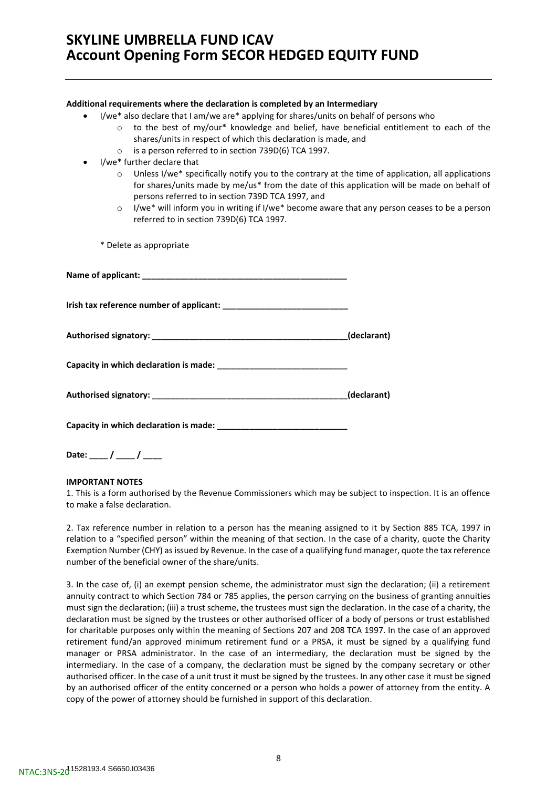#### **Additional requirements where the declaration is completed by an Intermediary**

- I/we\* also declare that I am/we are\* applying for shares/units on behalf of persons who
	- $\circ$  to the best of my/our\* knowledge and belief, have beneficial entitlement to each of the shares/units in respect of which this declaration is made, and
	- o is a person referred to in section 739D(6) TCA 1997.
- I/we\* further declare that
	- $\circ$  Unless I/we\* specifically notify you to the contrary at the time of application, all applications for shares/units made by me/us\* from the date of this application will be made on behalf of persons referred to in section 739D TCA 1997, and
	- $\circ$  I/we\* will inform you in writing if I/we\* become aware that any person ceases to be a person referred to in section 739D(6) TCA 1997.
	- \* Delete as appropriate

| (declarant) |
|-------------|
|             |

**Date: \_\_\_\_ / \_\_\_\_ / \_\_\_\_**

### **IMPORTANT NOTES**

1. This is a form authorised by the Revenue Commissioners which may be subject to inspection. It is an offence to make a false declaration.

2. Tax reference number in relation to a person has the meaning assigned to it by Section 885 TCA, 1997 in relation to a "specified person" within the meaning of that section. In the case of a charity, quote the Charity Exemption Number (CHY) as issued by Revenue. In the case of a qualifying fund manager, quote the tax reference number of the beneficial owner of the share/units.

3. In the case of, (i) an exempt pension scheme, the administrator must sign the declaration; (ii) a retirement annuity contract to which Section 784 or 785 applies, the person carrying on the business of granting annuities must sign the declaration; (iii) a trust scheme, the trustees must sign the declaration. In the case of a charity, the declaration must be signed by the trustees or other authorised officer of a body of persons or trust established for charitable purposes only within the meaning of Sections 207 and 208 TCA 1997. In the case of an approved retirement fund/an approved minimum retirement fund or a PRSA, it must be signed by a qualifying fund manager or PRSA administrator. In the case of an intermediary, the declaration must be signed by the intermediary. In the case of a company, the declaration must be signed by the company secretary or other authorised officer. In the case of a unit trust it must be signed by the trustees. In any other case it must be signed by an authorised officer of the entity concerned or a person who holds a power of attorney from the entity. A copy of the power of attorney should be furnished in support of this declaration.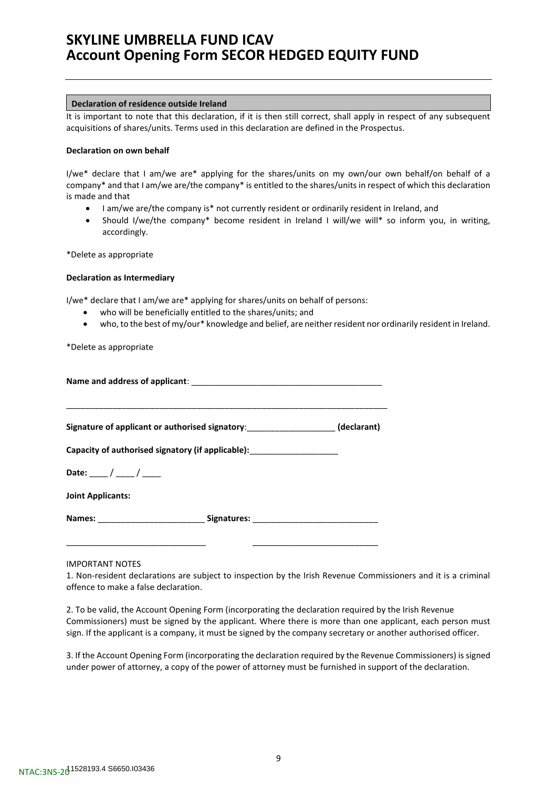#### **Declaration of residence outside Ireland**

It is important to note that this declaration, if it is then still correct, shall apply in respect of any subsequent acquisitions of shares/units. Terms used in this declaration are defined in the Prospectus.

#### **Declaration on own behalf**

I/we\* declare that I am/we are\* applying for the shares/units on my own/our own behalf/on behalf of a company\* and that I am/we are/the company\* is entitled to the shares/units in respect of which this declaration is made and that

- I am/we are/the company is\* not currently resident or ordinarily resident in Ireland, and
- Should I/we/the company\* become resident in Ireland I will/we will\* so inform you, in writing, accordingly.

\*Delete as appropriate

#### **Declaration as Intermediary**

I/we\* declare that I am/we are\* applying for shares/units on behalf of persons:

- who will be beneficially entitled to the shares/units; and
- who, to the best of my/our\* knowledge and belief, are neither resident nor ordinarily resident in Ireland.

\*Delete as appropriate

|                                                                         | Signature of applicant or authorised signatory: ___________________(declarant)    |  |  |
|-------------------------------------------------------------------------|-----------------------------------------------------------------------------------|--|--|
| Capacity of authorised signatory (if applicable): _____________________ |                                                                                   |  |  |
| Date: ___ / ___ / ___                                                   |                                                                                   |  |  |
| <b>Joint Applicants:</b>                                                |                                                                                   |  |  |
|                                                                         | Names: ___________________________________ Signatures: __________________________ |  |  |
|                                                                         |                                                                                   |  |  |

#### IMPORTANT NOTES

1. Non-resident declarations are subject to inspection by the Irish Revenue Commissioners and it is a criminal offence to make a false declaration.

2. To be valid, the Account Opening Form (incorporating the declaration required by the Irish Revenue Commissioners) must be signed by the applicant. Where there is more than one applicant, each person must sign. If the applicant is a company, it must be signed by the company secretary or another authorised officer.

3. If the Account Opening Form (incorporating the declaration required by the Revenue Commissioners) is signed under power of attorney, a copy of the power of attorney must be furnished in support of the declaration.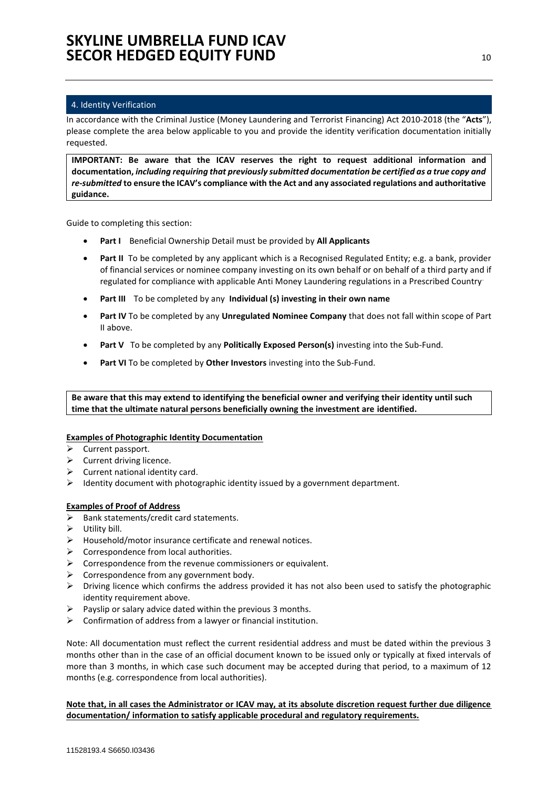### <span id="page-9-0"></span>4. Identity Verification

In accordance with the Criminal Justice (Money Laundering and Terrorist Financing) Act 2010-2018 (the "**Acts**"), please complete the area below applicable to you and provide the identity verification documentation initially requested.

**IMPORTANT: Be aware that the ICAV reserves the right to request additional information and documentation,** *including requiring that previously submitted documentation be certified as a true copy and re-submitted* **to ensure the ICAV's compliance with the Act and any associated regulations and authoritative guidance.**

Guide to completing this section:

- **Part I** Beneficial Ownership Detail must be provided by **All Applicants**
- **Part II** To be completed by any applicant which is a Recognised Regulated Entity; e.g. a bank, provider of financial services or nominee company investing on its own behalf or on behalf of a third party and if regulated for compliance with applicable Anti Money Laundering regulations in a Prescribed Country.
- **Part III** To be completed by any **Individual (s) investing in their own name**
- **Part IV** To be completed by any **Unregulated Nominee Company** that does not fall within scope of Part II above.
- **Part V** To be completed by any **Politically Exposed Person(s)** investing into the Sub-Fund.
- **Part VI** To be completed by **Other Investors** investing into the Sub-Fund.

**Be aware that this may extend to identifying the beneficial owner and verifying their identity until such time that the ultimate natural persons beneficially owning the investment are identified.**

### **Examples of Photographic Identity Documentation**

- ➢ Current passport.
- ➢ Current driving licence.
- $\triangleright$  Current national identity card.
- $\triangleright$  Identity document with photographic identity issued by a government department.

### **Examples of Proof of Address**

- ➢ Bank statements/credit card statements.
- ➢ Utility bill.
- ➢ Household/motor insurance certificate and renewal notices.
- $\triangleright$  Correspondence from local authorities.
- $\triangleright$  Correspondence from the revenue commissioners or equivalent.
- $\triangleright$  Correspondence from any government body.
- ➢ Driving licence which confirms the address provided it has not also been used to satisfy the photographic identity requirement above.
- $\triangleright$  Payslip or salary advice dated within the previous 3 months.
- $\triangleright$  Confirmation of address from a lawyer or financial institution.

Note: All documentation must reflect the current residential address and must be dated within the previous 3 months other than in the case of an official document known to be issued only or typically at fixed intervals of more than 3 months, in which case such document may be accepted during that period, to a maximum of 12 months (e.g. correspondence from local authorities).

**Note that, in all cases the Administrator or ICAV may, at its absolute discretion request further due diligence documentation/ information to satisfy applicable procedural and regulatory requirements.**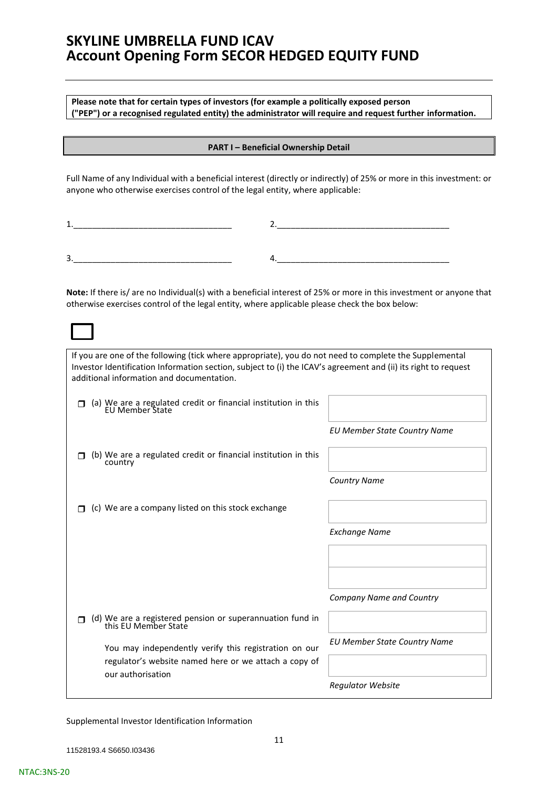**Please note that for certain types of investors (for example a politically exposed person ("PEP") or a recognised regulated entity) the administrator will require and request further information.**

### **PART I – Beneficial Ownership Detail**

Full Name of any Individual with a beneficial interest (directly or indirectly) of 25% or more in this investment: or anyone who otherwise exercises control of the legal entity, where applicable:

| -<br>ັ<br>____<br>____ |  |
|------------------------|--|

**Note:** If there is/ are no Individual(s) with a beneficial interest of 25% or more in this investment or anyone that otherwise exercises control of the legal entity, where applicable please check the box below:

If you are one of the following (tick where appropriate), you do not need to complete the Supplemental Investor Identification Information section, subject to (i) the ICAV's agreement and (ii) its right to request additional information and documentation. □ (a) We are a regulated credit or financial institution in this EU Member State *EU Member State Country Name*  $\Box$  (b) We are a regulated credit or financial institution in this country *Country Name*  $\Box$  (c) We are a company listed on this stock exchange *Exchange Name Company Name and Country* □ (d) We are a registered pension or superannuation fund in this EU Member State You may independently verify this registration on our regulator's website named here or we attach a copy of our authorisation *EU Member State Country Name Regulator Website*

Supplemental Investor Identification Information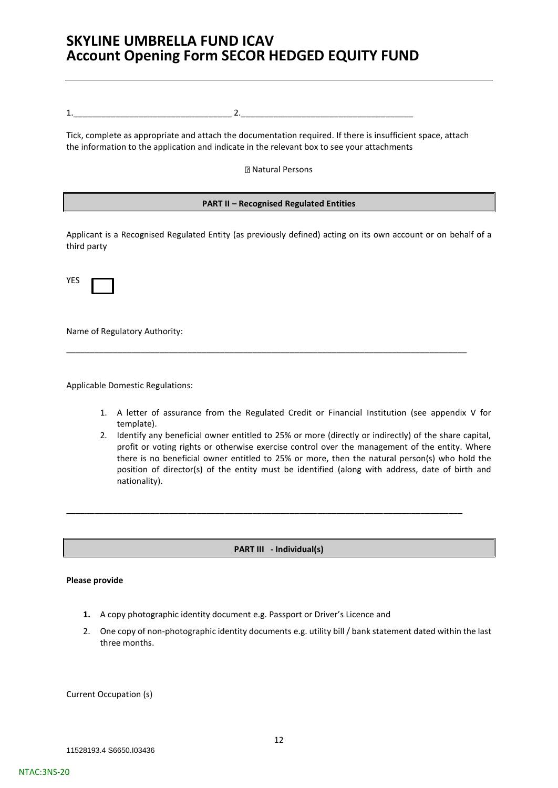1.\_\_\_\_\_\_\_\_\_\_\_\_\_\_\_\_\_\_\_\_\_\_\_\_\_\_\_\_\_\_\_\_\_\_ 2.\_\_\_\_\_\_\_\_\_\_\_\_\_\_\_\_\_\_\_\_\_\_\_\_\_\_\_\_\_\_\_\_\_\_\_\_\_

Tick, complete as appropriate and attach the documentation required. If there is insufficient space, attach the information to the application and indicate in the relevant box to see your attachments

Natural Persons

### **PART II – Recognised Regulated Entities**

Applicant is a Recognised Regulated Entity (as previously defined) acting on its own account or on behalf of a third party

\_\_\_\_\_\_\_\_\_\_\_\_\_\_\_\_\_\_\_\_\_\_\_\_\_\_\_\_\_\_\_\_\_\_\_\_\_\_\_\_\_\_\_\_\_\_\_\_\_\_\_\_\_\_\_\_\_\_\_\_\_\_\_\_\_\_\_\_\_\_\_\_\_\_\_\_\_\_\_\_\_\_\_\_\_\_

| ۰, |  |
|----|--|

Name of Regulatory Authority:

Applicable Domestic Regulations:

- 1. A letter of assurance from the Regulated Credit or Financial Institution (see appendix V for template).
- 2. Identify any beneficial owner entitled to 25% or more (directly or indirectly) of the share capital, profit or voting rights or otherwise exercise control over the management of the entity. Where there is no beneficial owner entitled to 25% or more, then the natural person(s) who hold the position of director(s) of the entity must be identified (along with address, date of birth and nationality).

**PART III - Individual(s)**

\_\_\_\_\_\_\_\_\_\_\_\_\_\_\_\_\_\_\_\_\_\_\_\_\_\_\_\_\_\_\_\_\_\_\_\_\_\_\_\_\_\_\_\_\_\_\_\_\_\_\_\_\_\_\_\_\_\_\_\_\_\_\_\_\_\_\_\_\_\_\_\_\_\_\_\_\_\_\_\_\_\_\_\_\_

#### **Please provide**

- **1.** A copy photographic identity document e.g. Passport or Driver's Licence and
- 2. One copy of non-photographic identity documents e.g. utility bill / bank statement dated within the last three months.

Current Occupation (s)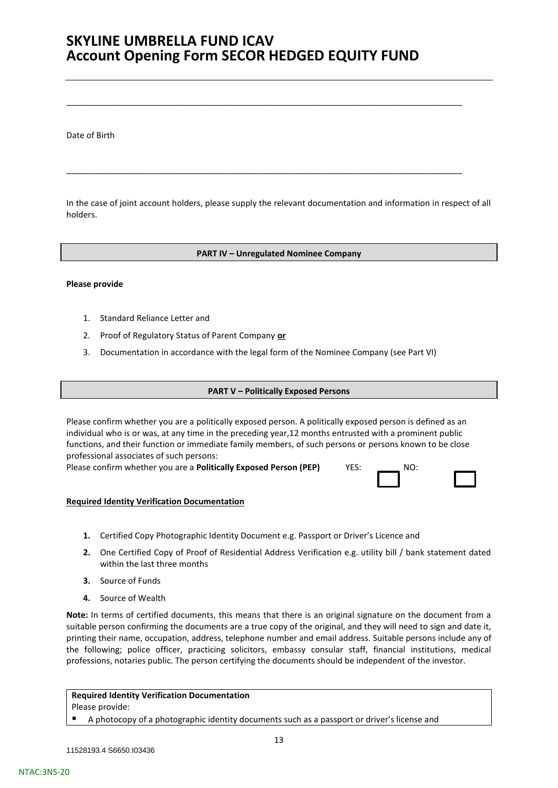\_\_\_\_\_\_\_\_\_\_\_\_\_\_\_\_\_\_\_\_\_\_\_\_\_\_\_\_\_\_\_\_\_\_\_\_\_\_\_\_\_\_\_\_\_\_\_\_\_\_\_\_\_\_\_\_\_\_\_\_\_\_\_\_\_\_\_\_\_\_\_\_\_\_\_\_\_\_\_\_\_\_\_\_\_

\_\_\_\_\_\_\_\_\_\_\_\_\_\_\_\_\_\_\_\_\_\_\_\_\_\_\_\_\_\_\_\_\_\_\_\_\_\_\_\_\_\_\_\_\_\_\_\_\_\_\_\_\_\_\_\_\_\_\_\_\_\_\_\_\_\_\_\_\_\_\_\_\_\_\_\_\_\_\_\_\_\_\_\_\_

Date of Birth

In the case of joint account holders, please supply the relevant documentation and information in respect of all holders.

### **PART IV – Unregulated Nominee Company**

#### **Please provide**

- 1. Standard Reliance Letter and
- 2. Proof of Regulatory Status of Parent Company **or**
- 3. Documentation in accordance with the legal form of the Nominee Company (see Part VI)

#### **PART V – Politically Exposed Persons**

Please confirm whether you are a politically exposed person. A politically exposed person is defined as an individual who is or was, at any time in the preceding year,12 months entrusted with a prominent public functions, and their function or immediate family members, of such persons or persons known to be close professional associates of such persons:

Please confirm whether you are a **Politically Exposed Person (PEP)** YES: \_\_\_\_\_\_\_ NO:

#### **Required Identity Verification Documentation**

- **1.** Certified Copy Photographic Identity Document e.g. Passport or Driver's Licence and
- **2.** One Certified Copy of Proof of Residential Address Verification e.g. utility bill / bank statement dated within the last three months
- **3.** Source of Funds
- **4.** Source of Wealth

**Note:** In terms of certified documents, this means that there is an original signature on the document from a suitable person confirming the documents are a true copy of the original, and they will need to sign and date it, printing their name, occupation, address, telephone number and email address. Suitable persons include any of the following; police officer, practicing solicitors, embassy consular staff, financial institutions, medical professions, notaries public. The person certifying the documents should be independent of the investor.

# **Required Identity Verification Documentation**

Please provide:

NTAC:3NS-20

A photocopy of a photographic identity documents such as a passport or driver's license and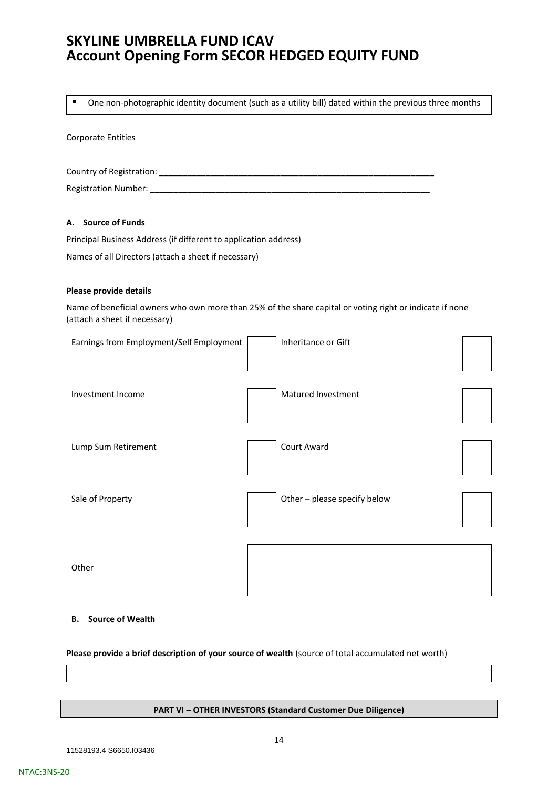■ One non-photographic identity document (such as a utility bill) dated within the previous three months

#### Corporate Entities

Country of Registration: \_\_\_\_\_\_\_\_\_\_\_\_\_\_\_\_\_\_\_\_\_\_\_\_\_\_\_\_\_\_\_\_\_\_\_\_\_\_\_\_\_\_\_\_\_\_\_\_\_\_\_\_\_\_\_\_\_\_\_ Registration Number: \_\_\_\_\_\_

### **A. Source of Funds**

Principal Business Address (if different to application address) Names of all Directors (attach a sheet if necessary)

#### **Please provide details**

Name of beneficial owners who own more than 25% of the share capital or voting right or indicate if none (attach a sheet if necessary)

| Earnings from Employment/Self Employment | Inheritance or Gift          |  |
|------------------------------------------|------------------------------|--|
| Investment Income                        | Matured Investment           |  |
| Lump Sum Retirement                      | Court Award                  |  |
| Sale of Property                         | Other - please specify below |  |
| Other                                    |                              |  |

### **B. Source of Wealth**

### **Please provide a brief description of your source of wealth** (source of total accumulated net worth)

#### **PART VI – OTHER INVESTORS (Standard Customer Due Diligence)**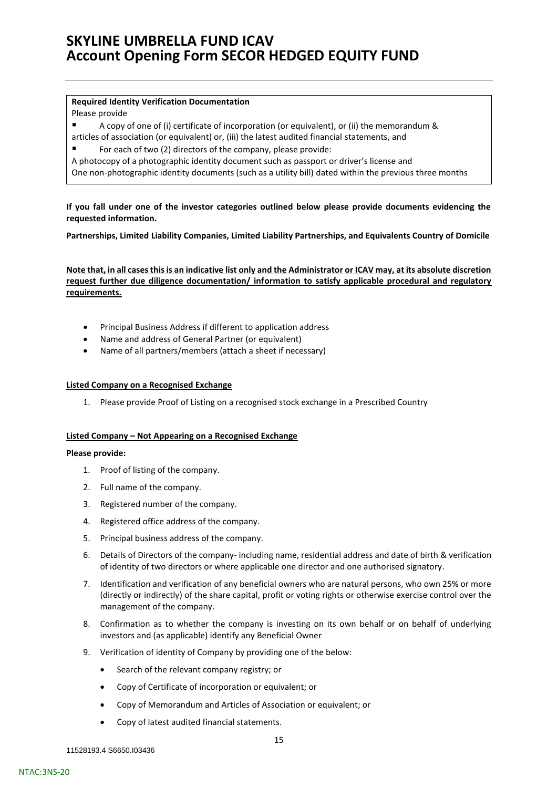#### **Required Identity Verification Documentation**

#### Please provide

- A copy of one of (i) certificate of incorporation (or equivalent), or (ii) the memorandum & articles of association (or equivalent) or, (iii) the latest audited financial statements, and
- For each of two (2) directors of the company, please provide:
- A photocopy of a photographic identity document such as passport or driver's license and

One non-photographic identity documents (such as a utility bill) dated within the previous three months

**If you fall under one of the investor categories outlined below please provide documents evidencing the requested information.** 

**Partnerships, Limited Liability Companies, Limited Liability Partnerships, and Equivalents Country of Domicile**

**Note that, in all cases this is an indicative list only and the Administrator or ICAV may, at its absolute discretion request further due diligence documentation/ information to satisfy applicable procedural and regulatory requirements.**

- Principal Business Address if different to application address
- Name and address of General Partner (or equivalent)
- Name of all partners/members (attach a sheet if necessary)

### **Listed Company on a Recognised Exchange**

1. Please provide Proof of Listing on a recognised stock exchange in a Prescribed Country

### **Listed Company – Not Appearing on a Recognised Exchange**

#### **Please provide:**

- 1. Proof of listing of the company.
- 2. Full name of the company.
- 3. Registered number of the company.
- 4. Registered office address of the company.
- 5. Principal business address of the company.
- 6. Details of Directors of the company- including name, residential address and date of birth & verification of identity of two directors or where applicable one director and one authorised signatory.
- 7. Identification and verification of any beneficial owners who are natural persons, who own 25% or more (directly or indirectly) of the share capital, profit or voting rights or otherwise exercise control over the management of the company.
- 8. Confirmation as to whether the company is investing on its own behalf or on behalf of underlying investors and (as applicable) identify any Beneficial Owner
- 9. Verification of identity of Company by providing one of the below:
	- Search of the relevant company registry; or
	- Copy of Certificate of incorporation or equivalent; or
	- Copy of Memorandum and Articles of Association or equivalent; or
	- Copy of latest audited financial statements.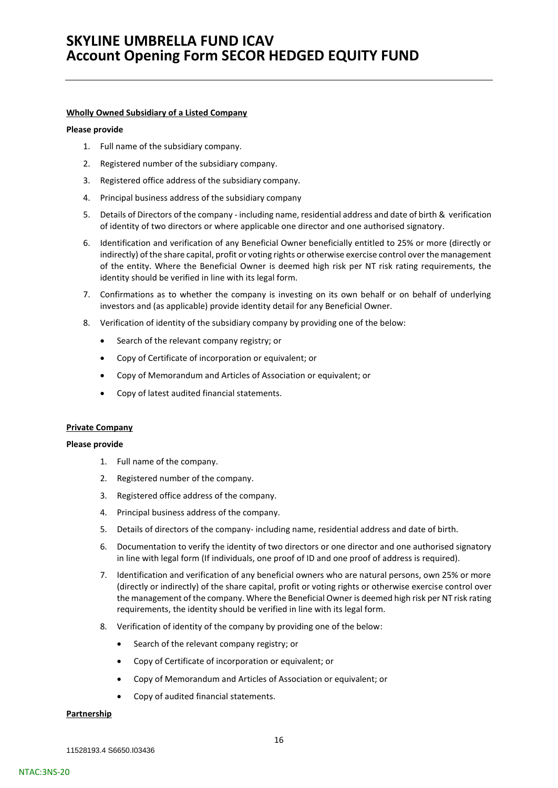#### **Wholly Owned Subsidiary of a Listed Company**

#### **Please provide**

- 1. Full name of the subsidiary company.
- 2. Registered number of the subsidiary company.
- 3. Registered office address of the subsidiary company.
- 4. Principal business address of the subsidiary company
- 5. Details of Directors of the company including name, residential address and date of birth & verification of identity of two directors or where applicable one director and one authorised signatory.
- 6. Identification and verification of any Beneficial Owner beneficially entitled to 25% or more (directly or indirectly) of the share capital, profit or voting rights or otherwise exercise control over the management of the entity. Where the Beneficial Owner is deemed high risk per NT risk rating requirements, the identity should be verified in line with its legal form.
- 7. Confirmations as to whether the company is investing on its own behalf or on behalf of underlying investors and (as applicable) provide identity detail for any Beneficial Owner.
- 8. Verification of identity of the subsidiary company by providing one of the below:
	- Search of the relevant company registry; or
	- Copy of Certificate of incorporation or equivalent; or
	- Copy of Memorandum and Articles of Association or equivalent; or
	- Copy of latest audited financial statements.

#### **Private Company**

#### **Please provide**

- 1. Full name of the company.
- 2. Registered number of the company.
- 3. Registered office address of the company.
- 4. Principal business address of the company.
- 5. Details of directors of the company- including name, residential address and date of birth.
- 6. Documentation to verify the identity of two directors or one director and one authorised signatory in line with legal form (If individuals, one proof of ID and one proof of address is required).
- 7. Identification and verification of any beneficial owners who are natural persons, own 25% or more (directly or indirectly) of the share capital, profit or voting rights or otherwise exercise control over the management of the company. Where the Beneficial Owner is deemed high risk per NT risk rating requirements, the identity should be verified in line with its legal form.
- 8. Verification of identity of the company by providing one of the below:
	- Search of the relevant company registry; or
	- Copy of Certificate of incorporation or equivalent; or
	- Copy of Memorandum and Articles of Association or equivalent; or
	- Copy of audited financial statements.

#### **Partnership**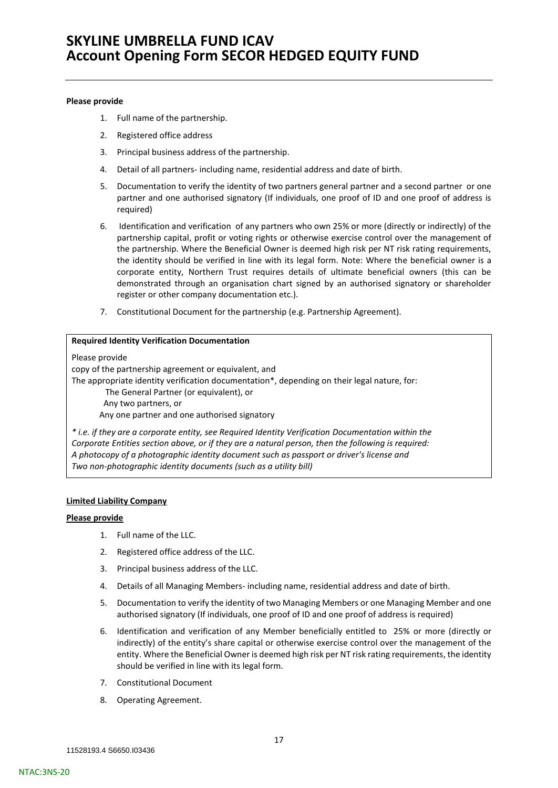#### **Please provide**

- 1. Full name of the partnership.
- 2. Registered office address
- 3. Principal business address of the partnership.
- 4. Detail of all partners- including name, residential address and date of birth.
- 5. Documentation to verify the identity of two partners general partner and a second partner or one partner and one authorised signatory (If individuals, one proof of ID and one proof of address is required)
- 6. Identification and verification of any partners who own 25% or more (directly or indirectly) of the partnership capital, profit or voting rights or otherwise exercise control over the management of the partnership. Where the Beneficial Owner is deemed high risk per NT risk rating requirements, the identity should be verified in line with its legal form. Note: Where the beneficial owner is a corporate entity, Northern Trust requires details of ultimate beneficial owners (this can be demonstrated through an organisation chart signed by an authorised signatory or shareholder register or other company documentation etc.).
- 7. Constitutional Document for the partnership (e.g. Partnership Agreement).

### **Required Identity Verification Documentation**

Please provide

copy of the partnership agreement or equivalent, and

The appropriate identity verification documentation\*, depending on their legal nature, for:

The General Partner (or equivalent), or Any two partners, or

Any one partner and one authorised signatory

*\* i.e. if they are a corporate entity, see Required Identity Verification Documentation within the Corporate Entities section above, or if they are a natural person, then the following is required: A photocopy of a photographic identity document such as passport or driver's license and Two non-photographic identity documents (such as a utility bill)*

### **Limited Liability Company**

### **Please provide**

- 1. Full name of the LLC.
- 2. Registered office address of the LLC.
- 3. Principal business address of the LLC.
- 4. Details of all Managing Members- including name, residential address and date of birth.
- 5. Documentation to verify the identity of two Managing Members or one Managing Member and one authorised signatory (If individuals, one proof of ID and one proof of address is required)
- 6. Identification and verification of any Member beneficially entitled to 25% or more (directly or indirectly) of the entity's share capital or otherwise exercise control over the management of the entity. Where the Beneficial Owner is deemed high risk per NT risk rating requirements, the identity should be verified in line with its legal form.
- 7. Constitutional Document
- 8. Operating Agreement.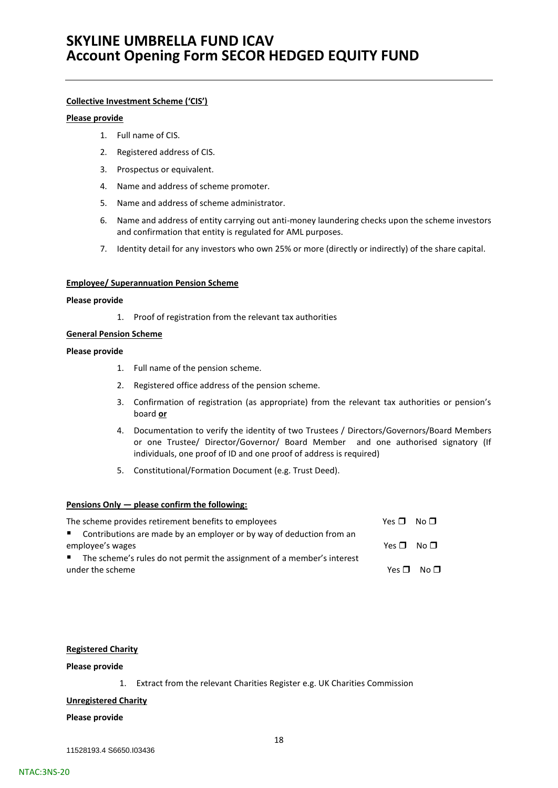### **Collective Investment Scheme ('CIS')**

### **Please provide**

- 1. Full name of CIS.
- 2. Registered address of CIS.
- 3. Prospectus or equivalent.
- 4. Name and address of scheme promoter.
- 5. Name and address of scheme administrator.
- 6. Name and address of entity carrying out anti-money laundering checks upon the scheme investors and confirmation that entity is regulated for AML purposes.
- 7. Identity detail for any investors who own 25% or more (directly or indirectly) of the share capital.

#### **Employee/ Superannuation Pension Scheme**

#### **Please provide**

1. Proof of registration from the relevant tax authorities

### **General Pension Scheme**

#### **Please provide**

- 1. Full name of the pension scheme.
- 2. Registered office address of the pension scheme.
- 3. Confirmation of registration (as appropriate) from the relevant tax authorities or pension's board **or**
- 4. Documentation to verify the identity of two Trustees / Directors/Governors/Board Members or one Trustee/ Director/Governor/ Board Member and one authorised signatory (If individuals, one proof of ID and one proof of address is required)
- 5. Constitutional/Formation Document (e.g. Trust Deed).

### **Pensions Only — please confirm the following:**

| The scheme provides retirement benefits to employees                     | Yes $\Pi$ No $\Pi$ |                 |
|--------------------------------------------------------------------------|--------------------|-----------------|
| ■ Contributions are made by an employer or by way of deduction from an   |                    |                 |
| employee's wages                                                         | Yes $\Pi$ No $\Pi$ |                 |
| ■ The scheme's rules do not permit the assignment of a member's interest |                    |                 |
| under the scheme                                                         | Yes □              | No <sub>1</sub> |

#### **Registered Charity**

#### **Please provide**

1. Extract from the relevant Charities Register e.g. UK Charities Commission

### **Unregistered Charity**

### **Please provide**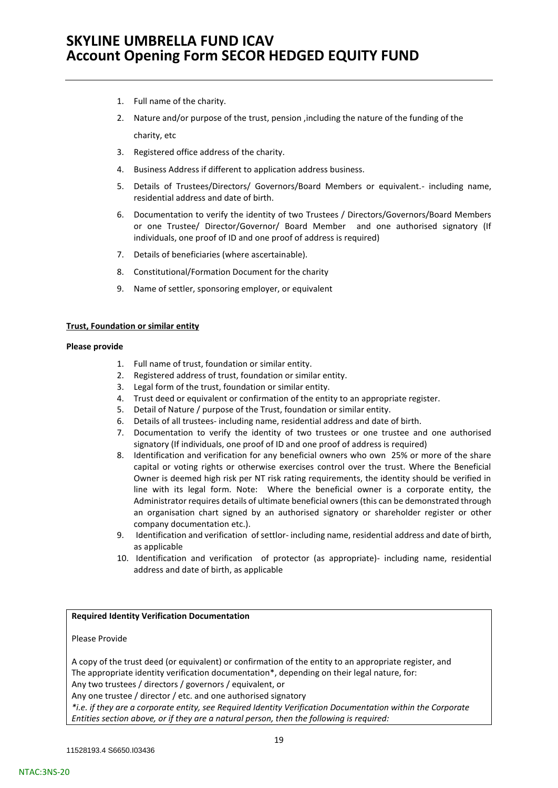- 1. Full name of the charity.
- 2. Nature and/or purpose of the trust, pension ,including the nature of the funding of the charity, etc
- 3. Registered office address of the charity.
- 4. Business Address if different to application address business.
- 5. Details of Trustees/Directors/ Governors/Board Members or equivalent.- including name, residential address and date of birth.
- 6. Documentation to verify the identity of two Trustees / Directors/Governors/Board Members or one Trustee/ Director/Governor/ Board Member and one authorised signatory (If individuals, one proof of ID and one proof of address is required)
- 7. Details of beneficiaries (where ascertainable).
- 8. Constitutional/Formation Document for the charity
- 9. Name of settler, sponsoring employer, or equivalent

### **Trust, Foundation or similar entity**

#### **Please provide**

- 1. Full name of trust, foundation or similar entity.
- 2. Registered address of trust, foundation or similar entity.
- 3. Legal form of the trust, foundation or similar entity.
- 4. Trust deed or equivalent or confirmation of the entity to an appropriate register.
- 5. Detail of Nature / purpose of the Trust, foundation or similar entity.
- 6. Details of all trustees- including name, residential address and date of birth.
- 7. Documentation to verify the identity of two trustees or one trustee and one authorised signatory (If individuals, one proof of ID and one proof of address is required)
- 8. Identification and verification for any beneficial owners who own 25% or more of the share capital or voting rights or otherwise exercises control over the trust. Where the Beneficial Owner is deemed high risk per NT risk rating requirements, the identity should be verified in line with its legal form. Note: Where the beneficial owner is a corporate entity, the Administrator requires details of ultimate beneficial owners (this can be demonstrated through an organisation chart signed by an authorised signatory or shareholder register or other company documentation etc.).
- 9. Identification and verification of settlor- including name, residential address and date of birth, as applicable
- 10. Identification and verification of protector (as appropriate)- including name, residential address and date of birth, as applicable

### **Required Identity Verification Documentation**

### Please Provide

A copy of the trust deed (or equivalent) or confirmation of the entity to an appropriate register, and The appropriate identity verification documentation\*, depending on their legal nature, for: Any two trustees / directors / governors / equivalent, or

Any one trustee / director / etc. and one authorised signatory

*\*i.e. if they are a corporate entity, see Required Identity Verification Documentation within the Corporate Entities section above, or if they are a natural person, then the following is required:*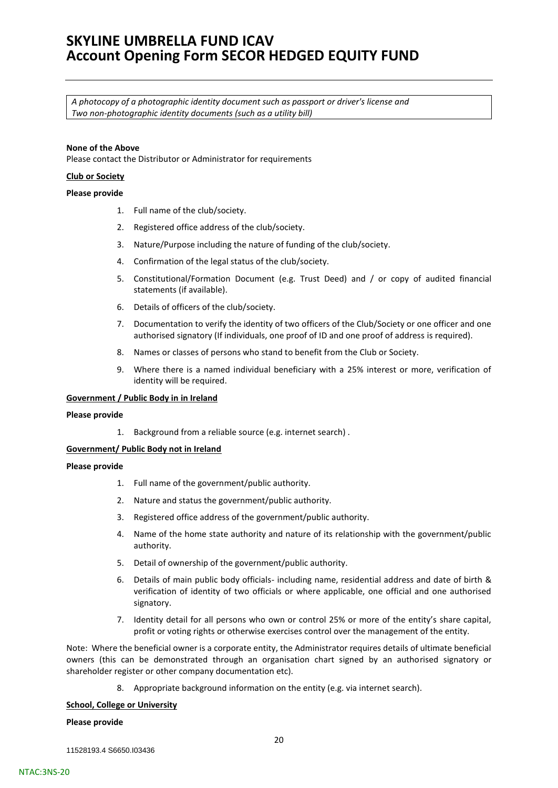*A photocopy of a photographic identity document such as passport or driver's license and Two non-photographic identity documents (such as a utility bill)*

### **None of the Above**

Please contact the Distributor or Administrator for requirements

#### **Club or Society**

#### **Please provide**

- 1. Full name of the club/society.
- 2. Registered office address of the club/society.
- 3. Nature/Purpose including the nature of funding of the club/society.
- 4. Confirmation of the legal status of the club/society.
- 5. Constitutional/Formation Document (e.g. Trust Deed) and / or copy of audited financial statements (if available).
- 6. Details of officers of the club/society.
- 7. Documentation to verify the identity of two officers of the Club/Society or one officer and one authorised signatory (If individuals, one proof of ID and one proof of address is required).
- 8. Names or classes of persons who stand to benefit from the Club or Society.
- 9. Where there is a named individual beneficiary with a 25% interest or more, verification of identity will be required.

#### **Government / Public Body in in Ireland**

#### **Please provide**

1. Background from a reliable source (e.g. internet search) .

#### **Government/ Public Body not in Ireland**

#### **Please provide**

- 1. Full name of the government/public authority.
- 2. Nature and status the government/public authority.
- 3. Registered office address of the government/public authority.
- 4. Name of the home state authority and nature of its relationship with the government/public authority.
- 5. Detail of ownership of the government/public authority.
- 6. Details of main public body officials- including name, residential address and date of birth & verification of identity of two officials or where applicable, one official and one authorised signatory.
- 7. Identity detail for all persons who own or control 25% or more of the entity's share capital, profit or voting rights or otherwise exercises control over the management of the entity.

Note: Where the beneficial owner is a corporate entity, the Administrator requires details of ultimate beneficial owners (this can be demonstrated through an organisation chart signed by an authorised signatory or shareholder register or other company documentation etc).

8. Appropriate background information on the entity (e.g. via internet search).

#### **School, College or University**

#### **Please provide**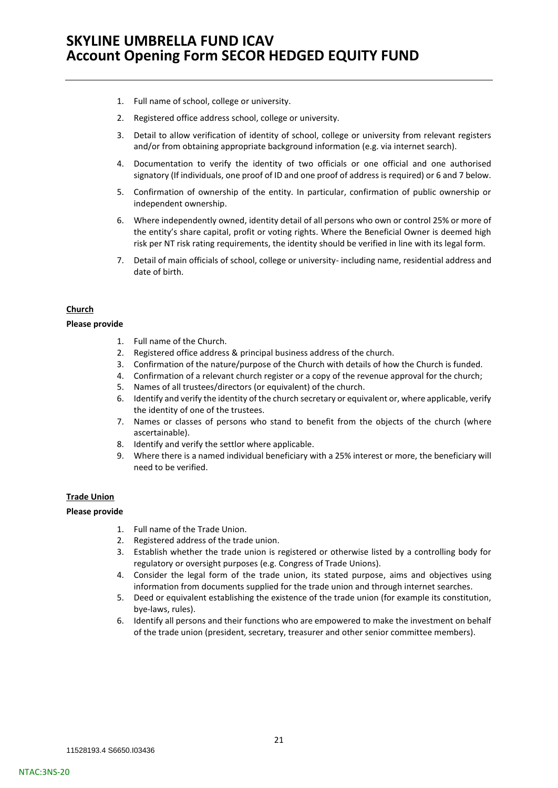- 1. Full name of school, college or university.
- 2. Registered office address school, college or university.
- 3. Detail to allow verification of identity of school, college or university from relevant registers and/or from obtaining appropriate background information (e.g. via internet search).
- 4. Documentation to verify the identity of two officials or one official and one authorised signatory (If individuals, one proof of ID and one proof of address is required) or 6 and 7 below.
- 5. Confirmation of ownership of the entity. In particular, confirmation of public ownership or independent ownership.
- 6. Where independently owned, identity detail of all persons who own or control 25% or more of the entity's share capital, profit or voting rights. Where the Beneficial Owner is deemed high risk per NT risk rating requirements, the identity should be verified in line with its legal form.
- 7. Detail of main officials of school, college or university- including name, residential address and date of birth.

#### **Church**

### **Please provide**

- 1. Full name of the Church.
- 2. Registered office address & principal business address of the church.
- 3. Confirmation of the nature/purpose of the Church with details of how the Church is funded.
- 4. Confirmation of a relevant church register or a copy of the revenue approval for the church;
- 5. Names of all trustees/directors (or equivalent) of the church.
- 6. Identify and verify the identity of the church secretary or equivalent or, where applicable, verify the identity of one of the trustees.
- 7. Names or classes of persons who stand to benefit from the objects of the church (where ascertainable).
- 8. Identify and verify the settlor where applicable.
- 9. Where there is a named individual beneficiary with a 25% interest or more, the beneficiary will need to be verified.

### **Trade Union**

#### **Please provide**

- 1. Full name of the Trade Union.
- 2. Registered address of the trade union.
- 3. Establish whether the trade union is registered or otherwise listed by a controlling body for regulatory or oversight purposes (e.g. Congress of Trade Unions).
- 4. Consider the legal form of the trade union, its stated purpose, aims and objectives using information from documents supplied for the trade union and through internet searches.
- 5. Deed or equivalent establishing the existence of the trade union (for example its constitution, bye-laws, rules).
- 6. Identify all persons and their functions who are empowered to make the investment on behalf of the trade union (president, secretary, treasurer and other senior committee members).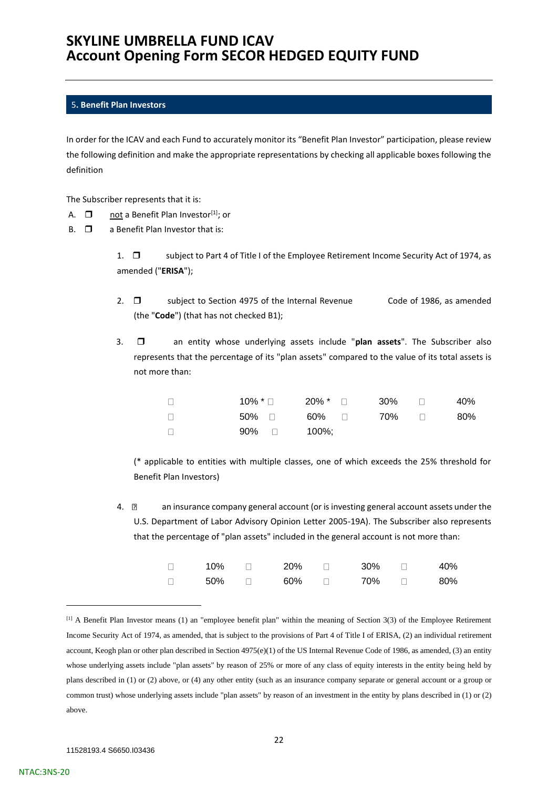### <span id="page-21-0"></span>5**. Benefit Plan Investors**

In order for the ICAV and each Fund to accurately monitor its "Benefit Plan Investor" participation, please review the following definition and make the appropriate representations by checking all applicable boxes following the definition

The Subscriber represents that it is:

- A.  $\Box$  not a Benefit Plan Investor<sup>[1]</sup>; or
- $B.$   $\square$  a Benefit Plan Investor that is:

1.  $\square$  subject to Part 4 of Title I of the Employee Retirement Income Security Act of 1974, as amended ("**ERISA**");

- 2.  $\Box$  subject to Section 4975 of the Internal Revenue Code of 1986, as amended (the "**Code**") (that has not checked B1);
- 3.  $\Box$  an entity whose underlying assets include "plan assets". The Subscriber also represents that the percentage of its "plan assets" compared to the value of its total assets is not more than:

|                          |              | $10\%$ * $\Box$ 20% * $\Box$ | $30\%$ $\Box$ | 40% |
|--------------------------|--------------|------------------------------|---------------|-----|
|                          | 50% ⊓        | 60% □ 70% □                  |               | 80% |
| $\overline{\phantom{0}}$ | $90\%$ 100%; |                              |               |     |

(\* applicable to entities with multiple classes, one of which exceeds the 25% threshold for Benefit Plan Investors)

4.  $\mathbb{Z}$  an insurance company general account (or is investing general account assets under the U.S. Department of Labor Advisory Opinion Letter 2005-19A). The Subscriber also represents that the percentage of "plan assets" included in the general account is not more than:

| 10% | 20% | 30% □ | 40% |
|-----|-----|-------|-----|
| 50% | 60% | 70% □ | 80% |

<sup>[1]</sup> A Benefit Plan Investor means (1) an "employee benefit plan" within the meaning of Section 3(3) of the Employee Retirement Income Security Act of 1974, as amended, that is subject to the provisions of Part 4 of Title I of ERISA, (2) an individual retirement account, Keogh plan or other plan described in Section 4975(e)(1) of the US Internal Revenue Code of 1986, as amended, (3) an entity whose underlying assets include "plan assets" by reason of 25% or more of any class of equity interests in the entity being held by plans described in (1) or (2) above, or (4) any other entity (such as an insurance company separate or general account or a group or common trust) whose underlying assets include "plan assets" by reason of an investment in the entity by plans described in (1) or (2) above.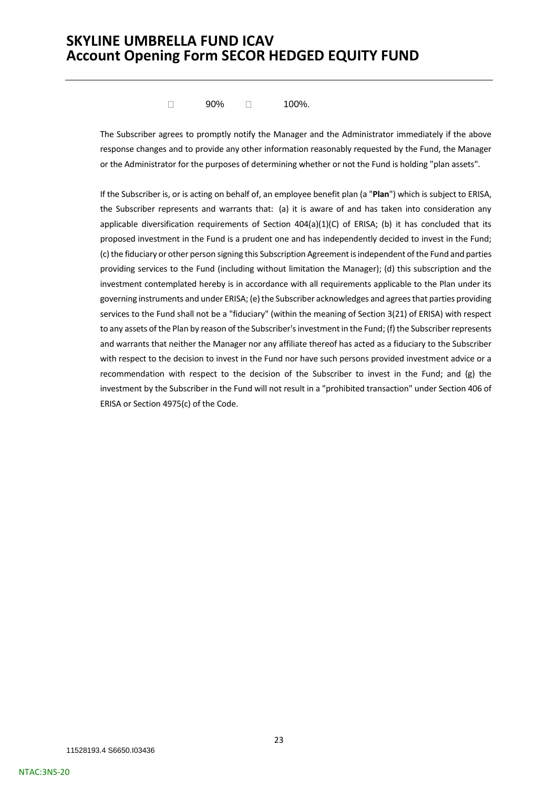$\Box$ 90% □ 100%.

The Subscriber agrees to promptly notify the Manager and the Administrator immediately if the above response changes and to provide any other information reasonably requested by the Fund, the Manager or the Administrator for the purposes of determining whether or not the Fund is holding "plan assets".

If the Subscriber is, or is acting on behalf of, an employee benefit plan (a "**Plan**") which is subject to ERISA, the Subscriber represents and warrants that: (a) it is aware of and has taken into consideration any applicable diversification requirements of Section 404(a)(1)(C) of ERISA; (b) it has concluded that its proposed investment in the Fund is a prudent one and has independently decided to invest in the Fund; (c) the fiduciary or other person signing this Subscription Agreement is independent of the Fund and parties providing services to the Fund (including without limitation the Manager); (d) this subscription and the investment contemplated hereby is in accordance with all requirements applicable to the Plan under its governing instruments and under ERISA; (e) the Subscriber acknowledges and agrees that parties providing services to the Fund shall not be a "fiduciary" (within the meaning of Section 3(21) of ERISA) with respect to any assets of the Plan by reason of the Subscriber's investment in the Fund; (f) the Subscriber represents and warrants that neither the Manager nor any affiliate thereof has acted as a fiduciary to the Subscriber with respect to the decision to invest in the Fund nor have such persons provided investment advice or a recommendation with respect to the decision of the Subscriber to invest in the Fund; and (g) the investment by the Subscriber in the Fund will not result in a "prohibited transaction" under Section 406 of ERISA or Section 4975(c) of the Code.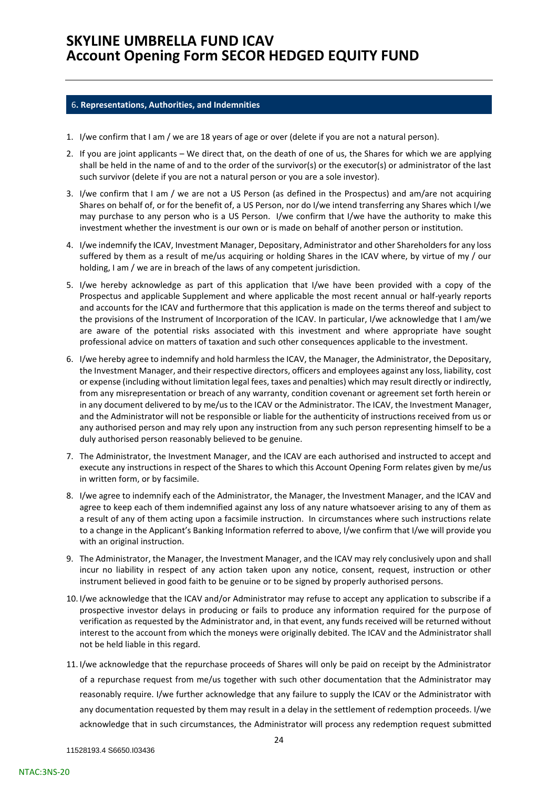#### <span id="page-23-0"></span>6**. Representations, Authorities, and Indemnities**

- 1. I/we confirm that I am / we are 18 years of age or over (delete if you are not a natural person).
- 2. If you are joint applicants We direct that, on the death of one of us, the Shares for which we are applying shall be held in the name of and to the order of the survivor(s) or the executor(s) or administrator of the last such survivor (delete if you are not a natural person or you are a sole investor).
- 3. I/we confirm that I am / we are not a US Person (as defined in the Prospectus) and am/are not acquiring Shares on behalf of, or for the benefit of, a US Person, nor do I/we intend transferring any Shares which I/we may purchase to any person who is a US Person. I/we confirm that I/we have the authority to make this investment whether the investment is our own or is made on behalf of another person or institution.
- 4. I/we indemnify the ICAV, Investment Manager, Depositary, Administrator and other Shareholders for any loss suffered by them as a result of me/us acquiring or holding Shares in the ICAV where, by virtue of my / our holding, I am / we are in breach of the laws of any competent jurisdiction.
- 5. I/we hereby acknowledge as part of this application that I/we have been provided with a copy of the Prospectus and applicable Supplement and where applicable the most recent annual or half-yearly reports and accounts for the ICAV and furthermore that this application is made on the terms thereof and subject to the provisions of the Instrument of Incorporation of the ICAV. In particular, I/we acknowledge that I am/we are aware of the potential risks associated with this investment and where appropriate have sought professional advice on matters of taxation and such other consequences applicable to the investment.
- 6. I/we hereby agree to indemnify and hold harmless the ICAV, the Manager, the Administrator, the Depositary, the Investment Manager, and their respective directors, officers and employees against any loss, liability, cost or expense (including without limitation legal fees, taxes and penalties) which may result directly or indirectly, from any misrepresentation or breach of any warranty, condition covenant or agreement set forth herein or in any document delivered to by me/us to the ICAV or the Administrator. The ICAV, the Investment Manager, and the Administrator will not be responsible or liable for the authenticity of instructions received from us or any authorised person and may rely upon any instruction from any such person representing himself to be a duly authorised person reasonably believed to be genuine.
- 7. The Administrator, the Investment Manager, and the ICAV are each authorised and instructed to accept and execute any instructions in respect of the Shares to which this Account Opening Form relates given by me/us in written form, or by facsimile.
- 8. I/we agree to indemnify each of the Administrator, the Manager, the Investment Manager, and the ICAV and agree to keep each of them indemnified against any loss of any nature whatsoever arising to any of them as a result of any of them acting upon a facsimile instruction. In circumstances where such instructions relate to a change in the Applicant's Banking Information referred to above, I/we confirm that I/we will provide you with an original instruction.
- 9. The Administrator, the Manager, the Investment Manager, and the ICAV may rely conclusively upon and shall incur no liability in respect of any action taken upon any notice, consent, request, instruction or other instrument believed in good faith to be genuine or to be signed by properly authorised persons.
- 10. I/we acknowledge that the ICAV and/or Administrator may refuse to accept any application to subscribe if a prospective investor delays in producing or fails to produce any information required for the purpose of verification as requested by the Administrator and, in that event, any funds received will be returned without interest to the account from which the moneys were originally debited. The ICAV and the Administrator shall not be held liable in this regard.
- 11. I/we acknowledge that the repurchase proceeds of Shares will only be paid on receipt by the Administrator of a repurchase request from me/us together with such other documentation that the Administrator may reasonably require. I/we further acknowledge that any failure to supply the ICAV or the Administrator with any documentation requested by them may result in a delay in the settlement of redemption proceeds. I/we acknowledge that in such circumstances, the Administrator will process any redemption request submitted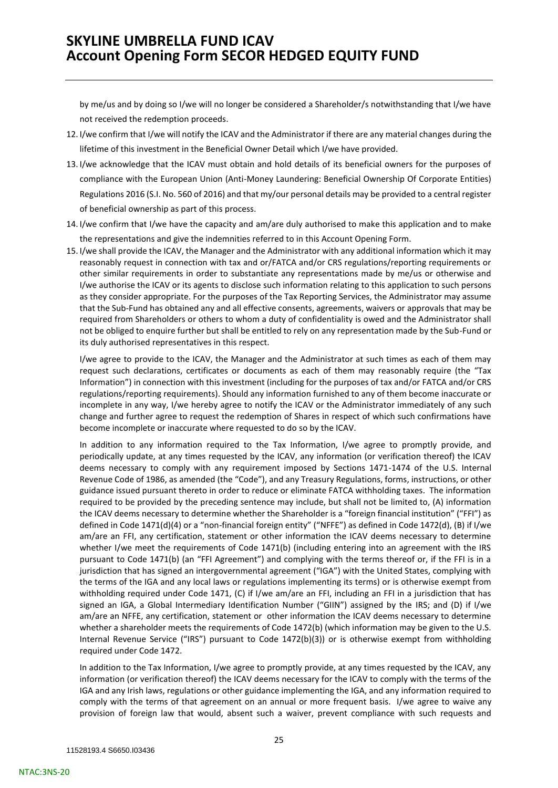by me/us and by doing so I/we will no longer be considered a Shareholder/s notwithstanding that I/we have not received the redemption proceeds.

- 12. I/we confirm that I/we will notify the ICAV and the Administrator if there are any material changes during the lifetime of this investment in the Beneficial Owner Detail which I/we have provided.
- 13. I/we acknowledge that the ICAV must obtain and hold details of its beneficial owners for the purposes of compliance with the European Union (Anti-Money Laundering: Beneficial Ownership Of Corporate Entities) Regulations 2016 (S.I. No. 560 of 2016) and that my/our personal details may be provided to a central register of beneficial ownership as part of this process.
- 14. I/we confirm that I/we have the capacity and am/are duly authorised to make this application and to make the representations and give the indemnities referred to in this Account Opening Form.
- 15. I/we shall provide the ICAV, the Manager and the Administrator with any additional information which it may reasonably request in connection with tax and or/FATCA and/or CRS regulations/reporting requirements or other similar requirements in order to substantiate any representations made by me/us or otherwise and I/we authorise the ICAV or its agents to disclose such information relating to this application to such persons as they consider appropriate. For the purposes of the Tax Reporting Services, the Administrator may assume that the Sub-Fund has obtained any and all effective consents, agreements, waivers or approvals that may be required from Shareholders or others to whom a duty of confidentiality is owed and the Administrator shall not be obliged to enquire further but shall be entitled to rely on any representation made by the Sub-Fund or its duly authorised representatives in this respect.

I/we agree to provide to the ICAV, the Manager and the Administrator at such times as each of them may request such declarations, certificates or documents as each of them may reasonably require (the "Tax Information") in connection with this investment (including for the purposes of tax and/or FATCA and/or CRS regulations/reporting requirements). Should any information furnished to any of them become inaccurate or incomplete in any way, I/we hereby agree to notify the ICAV or the Administrator immediately of any such change and further agree to request the redemption of Shares in respect of which such confirmations have become incomplete or inaccurate where requested to do so by the ICAV.

In addition to any information required to the Tax Information, I/we agree to promptly provide, and periodically update, at any times requested by the ICAV, any information (or verification thereof) the ICAV deems necessary to comply with any requirement imposed by Sections 1471-1474 of the U.S. Internal Revenue Code of 1986, as amended (the "Code"), and any Treasury Regulations, forms, instructions, or other guidance issued pursuant thereto in order to reduce or eliminate FATCA withholding taxes. The information required to be provided by the preceding sentence may include, but shall not be limited to, (A) information the ICAV deems necessary to determine whether the Shareholder is a "foreign financial institution" ("FFI") as defined in Code 1471(d)(4) or a "non-financial foreign entity" ("NFFE") as defined in Code 1472(d), (B) if I/we am/are an FFI, any certification, statement or other information the ICAV deems necessary to determine whether I/we meet the requirements of Code 1471(b) (including entering into an agreement with the IRS pursuant to Code 1471(b) (an "FFI Agreement") and complying with the terms thereof or, if the FFI is in a jurisdiction that has signed an intergovernmental agreement ("IGA") with the United States, complying with the terms of the IGA and any local laws or regulations implementing its terms) or is otherwise exempt from withholding required under Code 1471, (C) if I/we am/are an FFI, including an FFI in a jurisdiction that has signed an IGA, a Global Intermediary Identification Number ("GIIN") assigned by the IRS; and (D) if I/we am/are an NFFE, any certification, statement or other information the ICAV deems necessary to determine whether a shareholder meets the requirements of Code 1472(b) (which information may be given to the U.S. Internal Revenue Service ("IRS") pursuant to Code 1472(b)(3)) or is otherwise exempt from withholding required under Code 1472.

In addition to the Tax Information, I/we agree to promptly provide, at any times requested by the ICAV, any information (or verification thereof) the ICAV deems necessary for the ICAV to comply with the terms of the IGA and any Irish laws, regulations or other guidance implementing the IGA, and any information required to comply with the terms of that agreement on an annual or more frequent basis. I/we agree to waive any provision of foreign law that would, absent such a waiver, prevent compliance with such requests and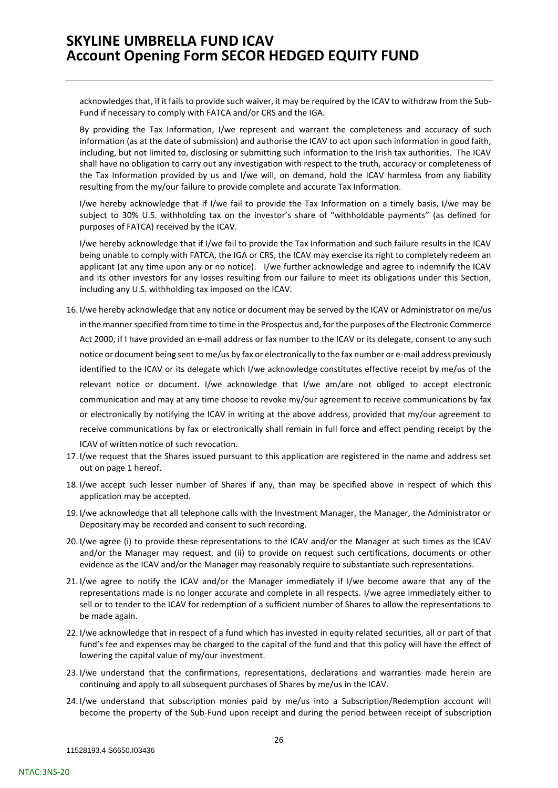acknowledges that, if it fails to provide such waiver, it may be required by the ICAV to withdraw from the Sub-Fund if necessary to comply with FATCA and/or CRS and the IGA.

By providing the Tax Information, I/we represent and warrant the completeness and accuracy of such information (as at the date of submission) and authorise the ICAV to act upon such information in good faith, including, but not limited to, disclosing or submitting such information to the Irish tax authorities. The ICAV shall have no obligation to carry out any investigation with respect to the truth, accuracy or completeness of the Tax Information provided by us and I/we will, on demand, hold the ICAV harmless from any liability resulting from the my/our failure to provide complete and accurate Tax Information.

I/we hereby acknowledge that if I/we fail to provide the Tax Information on a timely basis, I/we may be subject to 30% U.S. withholding tax on the investor's share of "withholdable payments" (as defined for purposes of FATCA) received by the ICAV.

I/we hereby acknowledge that if I/we fail to provide the Tax Information and such failure results in the ICAV being unable to comply with FATCA, the IGA or CRS, the ICAV may exercise its right to completely redeem an applicant (at any time upon any or no notice). I/we further acknowledge and agree to indemnify the ICAV and its other investors for any losses resulting from our failure to meet its obligations under this Section, including any U.S. withholding tax imposed on the ICAV.

- 16. I/we hereby acknowledge that any notice or document may be served by the ICAV or Administrator on me/us in the manner specified from time to time in the Prospectus and, for the purposes of the Electronic Commerce Act 2000, if I have provided an e-mail address or fax number to the ICAV or its delegate, consent to any such notice or document being sent to me/us by fax or electronically to the fax number or e-mail address previously identified to the ICAV or its delegate which I/we acknowledge constitutes effective receipt by me/us of the relevant notice or document. I/we acknowledge that I/we am/are not obliged to accept electronic communication and may at any time choose to revoke my/our agreement to receive communications by fax or electronically by notifying the ICAV in writing at the above address, provided that my/our agreement to receive communications by fax or electronically shall remain in full force and effect pending receipt by the ICAV of written notice of such revocation.
- 17. I/we request that the Shares issued pursuant to this application are registered in the name and address set out on page 1 hereof.
- 18. I/we accept such lesser number of Shares if any, than may be specified above in respect of which this application may be accepted.
- 19. I/we acknowledge that all telephone calls with the Investment Manager, the Manager, the Administrator or Depositary may be recorded and consent to such recording.
- 20. I/we agree (i) to provide these representations to the ICAV and/or the Manager at such times as the ICAV and/or the Manager may request, and (ii) to provide on request such certifications, documents or other evidence as the ICAV and/or the Manager may reasonably require to substantiate such representations.
- 21. I/we agree to notify the ICAV and/or the Manager immediately if I/we become aware that any of the representations made is no longer accurate and complete in all respects. I/we agree immediately either to sell or to tender to the ICAV for redemption of a sufficient number of Shares to allow the representations to be made again.
- 22. I/we acknowledge that in respect of a fund which has invested in equity related securities, all or part of that fund's fee and expenses may be charged to the capital of the fund and that this policy will have the effect of lowering the capital value of my/our investment.
- 23. I/we understand that the confirmations, representations, declarations and warranties made herein are continuing and apply to all subsequent purchases of Shares by me/us in the ICAV.
- 24. I/we understand that subscription monies paid by me/us into a Subscription/Redemption account will become the property of the Sub-Fund upon receipt and during the period between receipt of subscription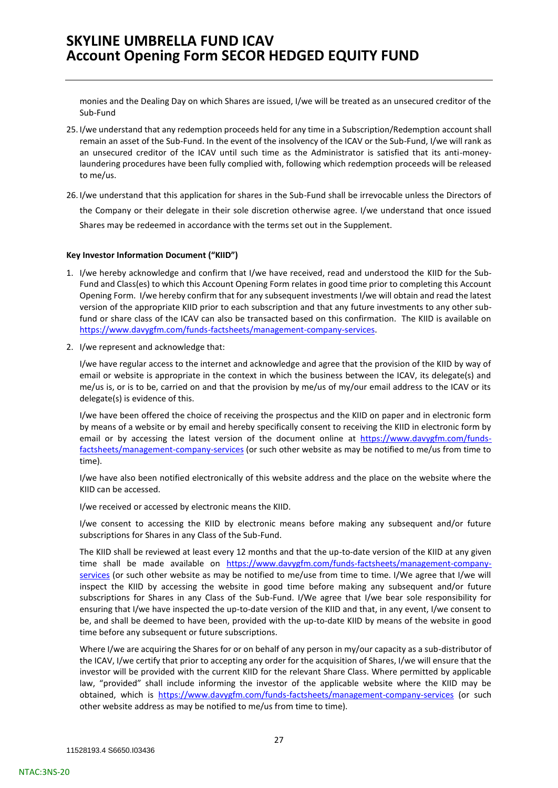monies and the Dealing Day on which Shares are issued, I/we will be treated as an unsecured creditor of the Sub-Fund

- 25. I/we understand that any redemption proceeds held for any time in a Subscription/Redemption account shall remain an asset of the Sub-Fund. In the event of the insolvency of the ICAV or the Sub-Fund, I/we will rank as an unsecured creditor of the ICAV until such time as the Administrator is satisfied that its anti-moneylaundering procedures have been fully complied with, following which redemption proceeds will be released to me/us.
- 26. I/we understand that this application for shares in the Sub-Fund shall be irrevocable unless the Directors of the Company or their delegate in their sole discretion otherwise agree. I/we understand that once issued Shares may be redeemed in accordance with the terms set out in the Supplement.

#### **Key Investor Information Document ("KIID")**

- 1. I/we hereby acknowledge and confirm that I/we have received, read and understood the KIID for the Sub-Fund and Class(es) to which this Account Opening Form relates in good time prior to completing this Account Opening Form. I/we hereby confirm that for any subsequent investments I/we will obtain and read the latest version of the appropriate KIID prior to each subscription and that any future investments to any other subfund or share class of the ICAV can also be transacted based on this confirmation. The KIID is available on [https://www.davygfm.com/funds-factsheets/management-company-services.](https://www.davygfm.com/funds-factsheets/management-company-services)
- 2. I/we represent and acknowledge that:

I/we have regular access to the internet and acknowledge and agree that the provision of the KIID by way of email or website is appropriate in the context in which the business between the ICAV, its delegate(s) and me/us is, or is to be, carried on and that the provision by me/us of my/our email address to the ICAV or its delegate(s) is evidence of this.

I/we have been offered the choice of receiving the prospectus and the KIID on paper and in electronic form by means of a website or by email and hereby specifically consent to receiving the KIID in electronic form by email or by accessing the latest version of the document online at [https://www.davygfm.com/funds](https://www.davygfm.com/funds-factsheets/management-company-services)[factsheets/management-company-services](https://www.davygfm.com/funds-factsheets/management-company-services) (or such other website as may be notified to me/us from time to time).

I/we have also been notified electronically of this website address and the place on the website where the KIID can be accessed.

I/we received or accessed by electronic means the KIID.

I/we consent to accessing the KIID by electronic means before making any subsequent and/or future subscriptions for Shares in any Class of the Sub-Fund.

The KIID shall be reviewed at least every 12 months and that the up-to-date version of the KIID at any given time shall be made available on [https://www.davygfm.com/funds-factsheets/management-company](https://www.davygfm.com/funds-factsheets/management-company-services)[services](https://www.davygfm.com/funds-factsheets/management-company-services) (or such other website as may be notified to me/use from time to time. I/We agree that I/we will inspect the KIID by accessing the website in good time before making any subsequent and/or future subscriptions for Shares in any Class of the Sub-Fund. I/We agree that I/we bear sole responsibility for ensuring that I/we have inspected the up-to-date version of the KIID and that, in any event, I/we consent to be, and shall be deemed to have been, provided with the up-to-date KIID by means of the website in good time before any subsequent or future subscriptions.

Where I/we are acquiring the Shares for or on behalf of any person in my/our capacity as a sub-distributor of the ICAV, I/we certify that prior to accepting any order for the acquisition of Shares, I/we will ensure that the investor will be provided with the current KIID for the relevant Share Class. Where permitted by applicable law, "provided" shall include informing the investor of the applicable website where the KIID may be obtained, which is <https://www.davygfm.com/funds-factsheets/management-company-services> (or such other website address as may be notified to me/us from time to time).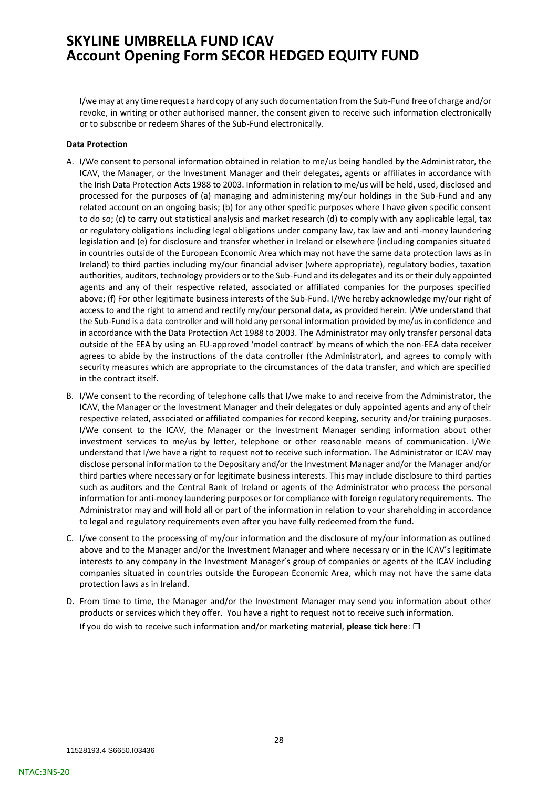I/we may at any time request a hard copy of any such documentation from the Sub-Fund free of charge and/or revoke, in writing or other authorised manner, the consent given to receive such information electronically or to subscribe or redeem Shares of the Sub-Fund electronically.

### **Data Protection**

- A. I/We consent to personal information obtained in relation to me/us being handled by the Administrator, the ICAV, the Manager, or the Investment Manager and their delegates, agents or affiliates in accordance with the Irish Data Protection Acts 1988 to 2003. Information in relation to me/us will be held, used, disclosed and processed for the purposes of (a) managing and administering my/our holdings in the Sub-Fund and any related account on an ongoing basis; (b) for any other specific purposes where I have given specific consent to do so; (c) to carry out statistical analysis and market research (d) to comply with any applicable legal, tax or regulatory obligations including legal obligations under company law, tax law and anti-money laundering legislation and (e) for disclosure and transfer whether in Ireland or elsewhere (including companies situated in countries outside of the European Economic Area which may not have the same data protection laws as in Ireland) to third parties including my/our financial adviser (where appropriate), regulatory bodies, taxation authorities, auditors, technology providers or to the Sub-Fund and its delegates and its or their duly appointed agents and any of their respective related, associated or affiliated companies for the purposes specified above; (f) For other legitimate business interests of the Sub-Fund. I/We hereby acknowledge my/our right of access to and the right to amend and rectify my/our personal data, as provided herein. I/We understand that the Sub-Fund is a data controller and will hold any personal information provided by me/us in confidence and in accordance with the Data Protection Act 1988 to 2003. The Administrator may only transfer personal data outside of the EEA by using an EU-approved 'model contract' by means of which the non-EEA data receiver agrees to abide by the instructions of the data controller (the Administrator), and agrees to comply with security measures which are appropriate to the circumstances of the data transfer, and which are specified in the contract itself.
- B. I/We consent to the recording of telephone calls that I/we make to and receive from the Administrator, the ICAV, the Manager or the Investment Manager and their delegates or duly appointed agents and any of their respective related, associated or affiliated companies for record keeping, security and/or training purposes. I/We consent to the ICAV, the Manager or the Investment Manager sending information about other investment services to me/us by letter, telephone or other reasonable means of communication. I/We understand that I/we have a right to request not to receive such information. The Administrator or ICAV may disclose personal information to the Depositary and/or the Investment Manager and/or the Manager and/or third parties where necessary or for legitimate business interests. This may include disclosure to third parties such as auditors and the Central Bank of Ireland or agents of the Administrator who process the personal information for anti-money laundering purposes or for compliance with foreign regulatory requirements. The Administrator may and will hold all or part of the information in relation to your shareholding in accordance to legal and regulatory requirements even after you have fully redeemed from the fund.
- C. I/we consent to the processing of my/our information and the disclosure of my/our information as outlined above and to the Manager and/or the Investment Manager and where necessary or in the ICAV's legitimate interests to any company in the Investment Manager's group of companies or agents of the ICAV including companies situated in countries outside the European Economic Area, which may not have the same data protection laws as in Ireland.
- D. From time to time, the Manager and/or the Investment Manager may send you information about other products or services which they offer. You have a right to request not to receive such information.

If you do wish to receive such information and/or marketing material, **please tick here**: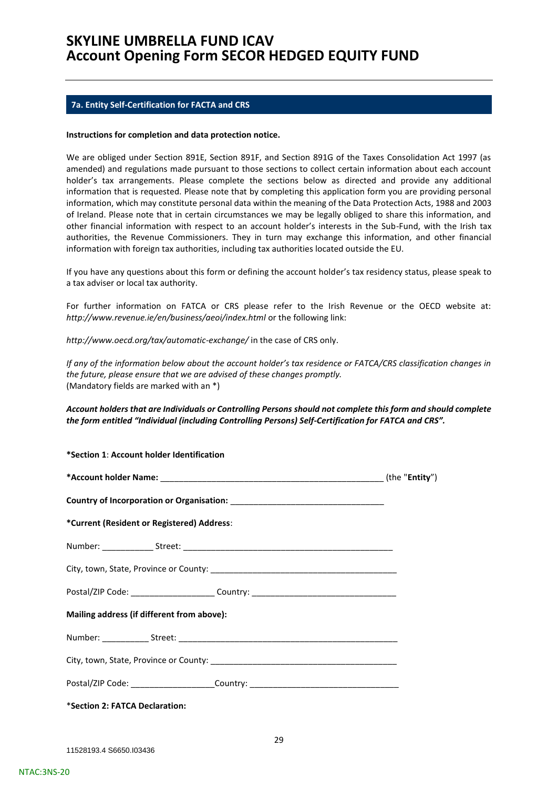### <span id="page-28-0"></span>**7a. Entity Self-Certification for FACTA and CRS**

#### **Instructions for completion and data protection notice.**

We are obliged under Section 891E, Section 891F, and Section 891G of the Taxes Consolidation Act 1997 (as amended) and regulations made pursuant to those sections to collect certain information about each account holder's tax arrangements. Please complete the sections below as directed and provide any additional information that is requested. Please note that by completing this application form you are providing personal information, which may constitute personal data within the meaning of the Data Protection Acts, 1988 and 2003 of Ireland. Please note that in certain circumstances we may be legally obliged to share this information, and other financial information with respect to an account holder's interests in the Sub-Fund, with the Irish tax authorities, the Revenue Commissioners. They in turn may exchange this information, and other financial information with foreign tax authorities, including tax authorities located outside the EU.

If you have any questions about this form or defining the account holder's tax residency status, please speak to a tax adviser or local tax authority.

For further information on FATCA or CRS please refer to the Irish Revenue or the OECD website at: *http://www.revenue.ie/en/business/aeoi/index.html* or the following link:

*http://www.oecd.org/tax/automatic-exchange/* in the case of CRS only.

**\*Section 1**: **Account holder Identification** 

*If any of the information below about the account holder's tax residence or FATCA/CRS classification changes in the future, please ensure that we are advised of these changes promptly.*  (Mandatory fields are marked with an \*)

### *Account holders that are Individuals or Controlling Persons should not complete this form and should complete the form entitled "Individual (including Controlling Persons) Self-Certification for FATCA and CRS".*

| <b>BELLION 1. ACCOUNT NOIGET IGENTIFICATION</b>                                  |  |
|----------------------------------------------------------------------------------|--|
|                                                                                  |  |
|                                                                                  |  |
| *Current (Resident or Registered) Address:                                       |  |
|                                                                                  |  |
|                                                                                  |  |
| Postal/ZIP Code: ________________________Country: ______________________________ |  |
| Mailing address (if different from above):                                       |  |
|                                                                                  |  |
|                                                                                  |  |
| Postal/ZIP Code: ________________________Country: ______________________________ |  |
| *Section 2: FATCA Declaration:                                                   |  |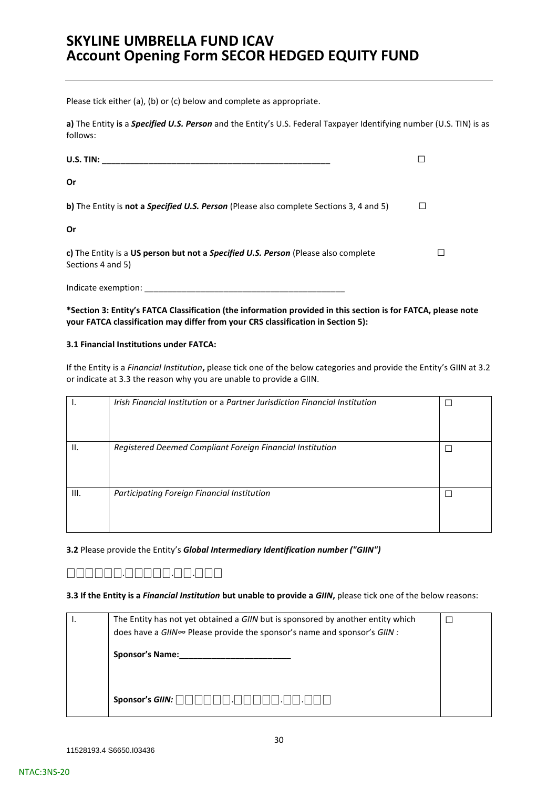Please tick either (a), (b) or (c) below and complete as appropriate.

**a)** The Entity **is** a *Specified U.S. Person* and the Entity's U.S. Federal Taxpayer Identifying number (U.S. TIN) is as follows:

| U.S. TIN:                                                                                               |  |
|---------------------------------------------------------------------------------------------------------|--|
| Or                                                                                                      |  |
| b) The Entity is not a Specified U.S. Person (Please also complete Sections 3, 4 and 5)                 |  |
| Or                                                                                                      |  |
| c) The Entity is a US person but not a Specified U.S. Person (Please also complete<br>Sections 4 and 5) |  |
| Indicate exemption:                                                                                     |  |

**\*Section 3: Entity's FATCA Classification (the information provided in this section is for FATCA, please note your FATCA classification may differ from your CRS classification in Section 5):** 

#### **3.1 Financial Institutions under FATCA:**

If the Entity is a *Financial Institution***,** please tick one of the below categories and provide the Entity's GIIN at 3.2 or indicate at 3.3 the reason why you are unable to provide a GIIN.

|      | Irish Financial Institution or a Partner Jurisdiction Financial Institution |  |
|------|-----------------------------------------------------------------------------|--|
| Н.   | Registered Deemed Compliant Foreign Financial Institution                   |  |
| III. | Participating Foreign Financial Institution                                 |  |
|      |                                                                             |  |

**3.2** Please provide the Entity's *Global Intermediary Identification number ("GIIN")* 

# ⎕⎕⎕⎕⎕⎕.⎕⎕⎕⎕⎕.⎕⎕.⎕⎕⎕

**3.3 If the Entity is a** *Financial Institution* **but unable to provide a** *GIIN***,** please tick one of the below reasons:

| The Entity has not yet obtained a GIIN but is sponsored by another entity which |  |
|---------------------------------------------------------------------------------|--|
| does have a GIIN∞ Please provide the sponsor's name and sponsor's GIIN :        |  |
| <b>Sponsor's Name:</b>                                                          |  |
| Sponsor's GIIN:                                                                 |  |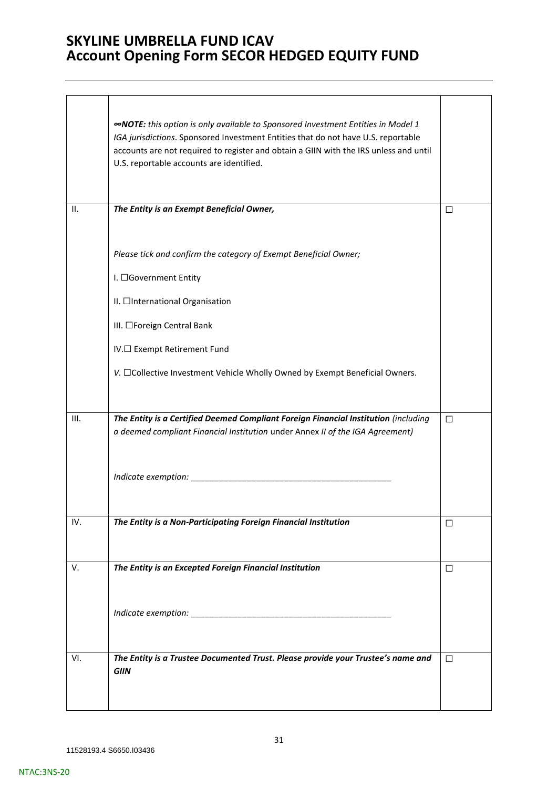$\overline{\phantom{a}}$ 

|     | <b>«NOTE:</b> this option is only available to Sponsored Investment Entities in Model 1<br>IGA jurisdictions. Sponsored Investment Entities that do not have U.S. reportable<br>accounts are not required to register and obtain a GIIN with the IRS unless and until<br>U.S. reportable accounts are identified. |        |
|-----|-------------------------------------------------------------------------------------------------------------------------------------------------------------------------------------------------------------------------------------------------------------------------------------------------------------------|--------|
| II. | The Entity is an Exempt Beneficial Owner,                                                                                                                                                                                                                                                                         | ⊔      |
|     | Please tick and confirm the category of Exempt Beneficial Owner;<br>I. □Government Entity<br>II. □International Organisation<br>III. □Foreign Central Bank                                                                                                                                                        |        |
|     | IV.□ Exempt Retirement Fund                                                                                                                                                                                                                                                                                       |        |
|     | V. □Collective Investment Vehicle Wholly Owned by Exempt Beneficial Owners.                                                                                                                                                                                                                                       |        |
| Ш.  | The Entity is a Certified Deemed Compliant Foreign Financial Institution (including<br>a deemed compliant Financial Institution under Annex II of the IGA Agreement)                                                                                                                                              | $\Box$ |
|     | Indicate exemption:                                                                                                                                                                                                                                                                                               |        |
| IV. | The Entity is a Non-Participating Foreign Financial Institution                                                                                                                                                                                                                                                   | □      |
| V.  | The Entity is an Excepted Foreign Financial Institution                                                                                                                                                                                                                                                           | $\Box$ |
|     |                                                                                                                                                                                                                                                                                                                   |        |
| VI. | The Entity is a Trustee Documented Trust. Please provide your Trustee's name and<br><b>GIIN</b>                                                                                                                                                                                                                   | $\Box$ |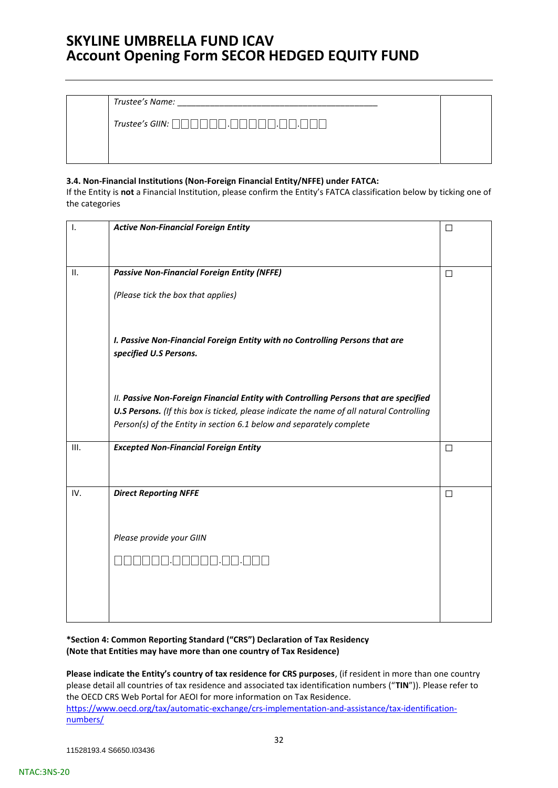*Trustee's Name:* \_\_\_\_\_\_\_\_\_\_\_\_\_\_\_\_\_\_\_\_\_\_\_\_\_\_\_\_\_\_\_\_\_\_\_\_\_\_\_\_\_\_\_

*Trustee's GIIN:* ⎕⎕⎕⎕⎕⎕.⎕⎕⎕⎕⎕.⎕⎕.⎕⎕⎕

### **3.4. Non-Financial Institutions (Non-Foreign Financial Entity/NFFE) under FATCA:**

If the Entity is **not** a Financial Institution, please confirm the Entity's FATCA classification below by ticking one of the categories

| ۱.  | <b>Active Non-Financial Foreign Entity</b>                                                                                                                                       | $\Box$ |
|-----|----------------------------------------------------------------------------------------------------------------------------------------------------------------------------------|--------|
|     |                                                                                                                                                                                  |        |
| II. | <b>Passive Non-Financial Foreign Entity (NFFE)</b>                                                                                                                               | $\Box$ |
|     | (Please tick the box that applies)                                                                                                                                               |        |
|     |                                                                                                                                                                                  |        |
|     | I. Passive Non-Financial Foreign Entity with no Controlling Persons that are<br>specified U.S Persons.                                                                           |        |
|     |                                                                                                                                                                                  |        |
|     | II. Passive Non-Foreign Financial Entity with Controlling Persons that are specified<br>U.S Persons. (If this box is ticked, please indicate the name of all natural Controlling |        |
|     | Person(s) of the Entity in section 6.1 below and separately complete                                                                                                             |        |
| Ш.  | <b>Excepted Non-Financial Foreign Entity</b>                                                                                                                                     | $\Box$ |
|     |                                                                                                                                                                                  |        |
| IV. | <b>Direct Reporting NFFE</b>                                                                                                                                                     | $\Box$ |
|     |                                                                                                                                                                                  |        |
|     | Please provide your GIIN                                                                                                                                                         |        |
|     |                                                                                                                                                                                  |        |
|     |                                                                                                                                                                                  |        |
|     |                                                                                                                                                                                  |        |
|     |                                                                                                                                                                                  |        |

### **\*Section 4: Common Reporting Standard ("CRS") Declaration of Tax Residency (Note that Entities may have more than one country of Tax Residence)**

**Please indicate the Entity's country of tax residence for CRS purposes**, (if resident in more than one country please detail all countries of tax residence and associated tax identification numbers ("**TIN**")). Please refer to the OECD CRS Web Portal for AEOI for more information on Tax Residence. [https://www.oecd.org/tax/automatic-exchange/crs-implementation-and-assistance/tax-identification](https://www.oecd.org/tax/automatic-exchange/crs-implementation-and-assistance/tax-identification-numbers/)[numbers/](https://www.oecd.org/tax/automatic-exchange/crs-implementation-and-assistance/tax-identification-numbers/)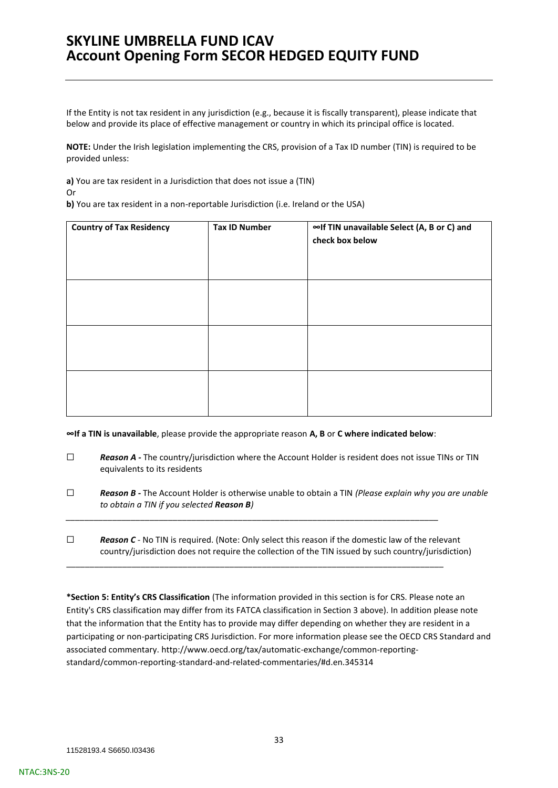If the Entity is not tax resident in any jurisdiction (e.g., because it is fiscally transparent), please indicate that below and provide its place of effective management or country in which its principal office is located.

**NOTE:** Under the Irish legislation implementing the CRS, provision of a Tax ID number (TIN) is required to be provided unless:

**a)** You are tax resident in a Jurisdiction that does not issue a (TIN)

Or

**b)** You are tax resident in a non-reportable Jurisdiction (i.e. Ireland or the USA)

| <b>Country of Tax Residency</b> | <b>Tax ID Number</b> | ∞If TIN unavailable Select (A, B or C) and<br>check box below |
|---------------------------------|----------------------|---------------------------------------------------------------|
|                                 |                      |                                                               |
|                                 |                      |                                                               |
|                                 |                      |                                                               |

**∞If a TIN is unavailable**, please provide the appropriate reason **A, B** or **C where indicated below**:

*\_\_\_\_\_\_\_\_\_\_\_\_\_\_\_\_\_\_\_\_\_\_\_\_\_\_\_\_\_\_\_\_\_\_\_\_\_\_\_\_\_\_\_\_\_\_\_\_\_\_\_\_\_\_\_\_\_\_\_\_\_\_\_\_\_\_\_\_\_\_\_\_\_\_\_\_\_\_\_\_*

\_\_\_\_\_\_\_\_\_\_\_\_\_\_\_\_\_\_\_\_\_\_\_\_\_\_\_\_\_\_\_\_\_\_\_\_\_\_\_\_\_\_\_\_\_\_\_\_\_\_\_\_\_\_\_\_\_\_\_\_\_\_\_\_\_\_\_\_\_\_\_\_\_\_\_\_\_\_\_\_\_

- □ **Reason A** The country/jurisdiction where the Account Holder is resident does not issue TINs or TIN equivalents to its residents
- ☐ *Reason B -* The Account Holder is otherwise unable to obtain a TIN *(Please explain why you are unable to obtain a TIN if you selected Reason B)*

☐ *Reason C -* No TIN is required. (Note: Only select this reason if the domestic law of the relevant country/jurisdiction does not require the collection of the TIN issued by such country/jurisdiction)

**\*Section 5: Entity's CRS Classification** (The information provided in this section is for CRS. Please note an Entity's CRS classification may differ from its FATCA classification in Section 3 above). In addition please note that the information that the Entity has to provide may differ depending on whether they are resident in a participating or non-participating CRS Jurisdiction. For more information please see the OECD CRS Standard and associated commentary. http://www.oecd.org/tax/automatic-exchange/common-reportingstandard/common-reporting-standard-and-related-commentaries/#d.en.345314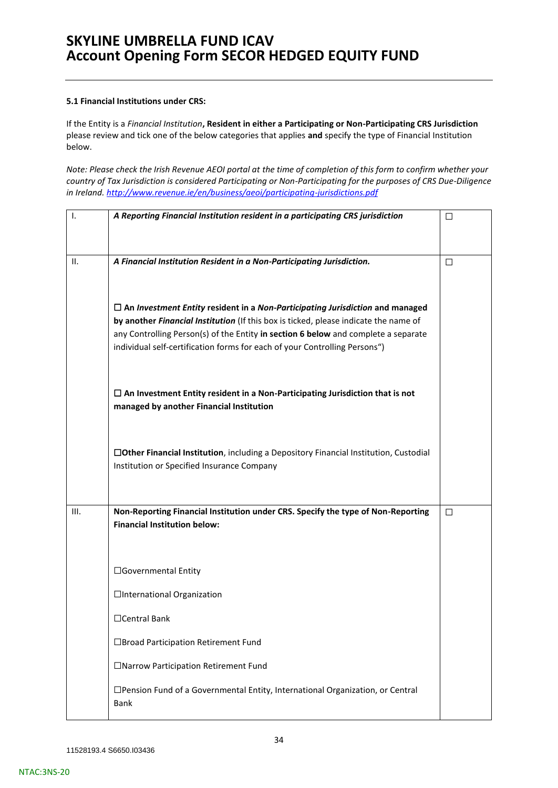### **5.1 Financial Institutions under CRS:**

If the Entity is a *Financial Institution***, Resident in either a Participating or Non-Participating CRS Jurisdiction**  please review and tick one of the below categories that applies **and** specify the type of Financial Institution below.

*Note: Please check the Irish Revenue AEOI portal at the time of completion of this form to confirm whether your country of Tax Jurisdiction is considered Participating or Non-Participating for the purposes of CRS Due-Diligence in Ireland.<http://www.revenue.ie/en/business/aeoi/participating-jurisdictions.pdf>*

| I.   | A Reporting Financial Institution resident in a participating CRS jurisdiction                                                                                                                                                                                                                                                                   | □      |
|------|--------------------------------------------------------------------------------------------------------------------------------------------------------------------------------------------------------------------------------------------------------------------------------------------------------------------------------------------------|--------|
| н.   | A Financial Institution Resident in a Non-Participating Jurisdiction.                                                                                                                                                                                                                                                                            | $\Box$ |
|      | $\Box$ An Investment Entity resident in a Non-Participating Jurisdiction and managed<br>by another Financial Institution (If this box is ticked, please indicate the name of<br>any Controlling Person(s) of the Entity in section 6 below and complete a separate<br>individual self-certification forms for each of your Controlling Persons") |        |
|      | $\Box$ An Investment Entity resident in a Non-Participating Jurisdiction that is not<br>managed by another Financial Institution                                                                                                                                                                                                                 |        |
|      | □Other Financial Institution, including a Depository Financial Institution, Custodial<br>Institution or Specified Insurance Company                                                                                                                                                                                                              |        |
| III. | Non-Reporting Financial Institution under CRS. Specify the type of Non-Reporting<br><b>Financial Institution below:</b>                                                                                                                                                                                                                          | □      |
|      | □Governmental Entity<br>□International Organization                                                                                                                                                                                                                                                                                              |        |
|      | □Central Bank                                                                                                                                                                                                                                                                                                                                    |        |
|      | □Broad Participation Retirement Fund                                                                                                                                                                                                                                                                                                             |        |
|      | □Narrow Participation Retirement Fund                                                                                                                                                                                                                                                                                                            |        |
|      | □Pension Fund of a Governmental Entity, International Organization, or Central<br>Bank                                                                                                                                                                                                                                                           |        |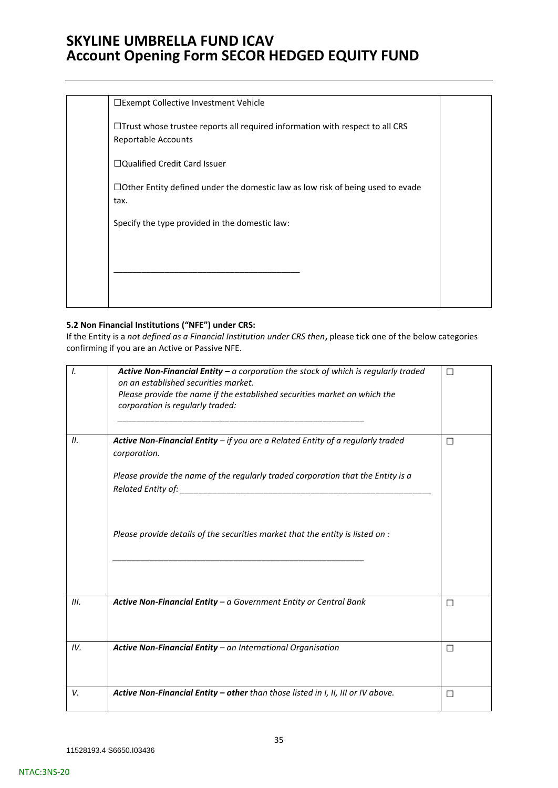| □Exempt Collective Investment Vehicle                                                                |  |
|------------------------------------------------------------------------------------------------------|--|
| □Trust whose trustee reports all required information with respect to all CRS<br>Reportable Accounts |  |
| $\Box$ Qualified Credit Card Issuer                                                                  |  |
| $\Box$ Other Entity defined under the domestic law as low risk of being used to evade<br>tax.        |  |
| Specify the type provided in the domestic law:                                                       |  |
|                                                                                                      |  |
|                                                                                                      |  |
|                                                                                                      |  |
|                                                                                                      |  |

### **5.2 Non Financial Institutions ("NFE") under CRS:**

If the Entity is a *not defined as a Financial Institution under CRS then***,** please tick one of the below categories confirming if you are an Active or Passive NFE.

| I.   | <b>Active Non-Financial Entity – a corporation the stock of which is regularly traded</b><br>on an established securities market.<br>Please provide the name if the established securities market on which the<br>corporation is regularly traded: | П      |
|------|----------------------------------------------------------------------------------------------------------------------------------------------------------------------------------------------------------------------------------------------------|--------|
| II.  | Active Non-Financial Entity $-$ if you are a Related Entity of a regularly traded<br>corporation.                                                                                                                                                  | П      |
|      | Please provide the name of the regularly traded corporation that the Entity is a                                                                                                                                                                   |        |
|      | Please provide details of the securities market that the entity is listed on :                                                                                                                                                                     |        |
| III. | Active Non-Financial Entity - a Government Entity or Central Bank                                                                                                                                                                                  | $\Box$ |
|      |                                                                                                                                                                                                                                                    |        |
| IV.  | Active Non-Financial Entity - an International Organisation                                                                                                                                                                                        | П      |
| V.   | Active Non-Financial Entity - other than those listed in I, II, III or IV above.                                                                                                                                                                   | □      |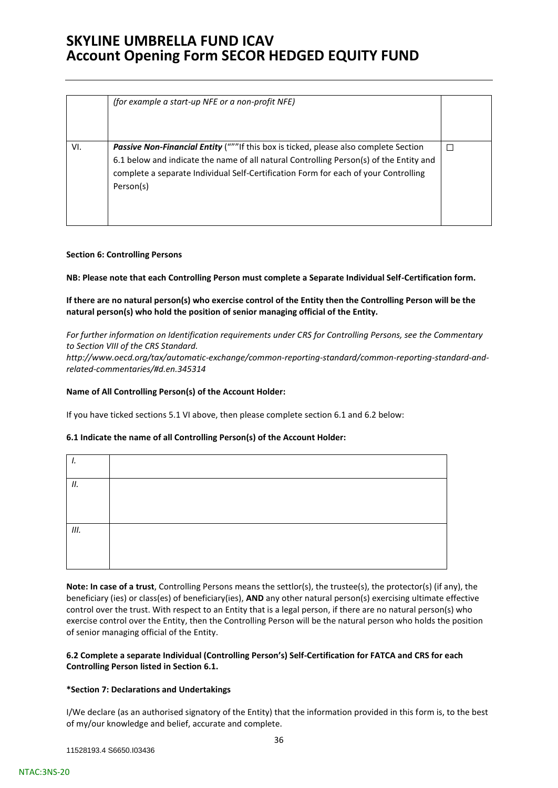|     | (for example a start-up NFE or a non-profit NFE)                                                                                                                                                                                                                                          |  |
|-----|-------------------------------------------------------------------------------------------------------------------------------------------------------------------------------------------------------------------------------------------------------------------------------------------|--|
| VI. | <b>Passive Non-Financial Entity</b> ("""If this box is ticked, please also complete Section<br>6.1 below and indicate the name of all natural Controlling Person(s) of the Entity and<br>complete a separate Individual Self-Certification Form for each of your Controlling<br>Person(s) |  |

### **Section 6: Controlling Persons**

**NB: Please note that each Controlling Person must complete a Separate Individual Self-Certification form.** 

**If there are no natural person(s) who exercise control of the Entity then the Controlling Person will be the natural person(s) who hold the position of senior managing official of the Entity.** 

*For further information on Identification requirements under CRS for Controlling Persons, see the Commentary to Section VIII of the CRS Standard. [http://www.oecd.org/tax/automatic-exchange/common-reporting-standard/common-reporting-standard-and](http://www.oecd.org/tax/automatic-exchange/common-reporting-standard/common-reporting-standard-and-related-commentaries/#d.en.345314)[related-commentaries/#d.en.345314](http://www.oecd.org/tax/automatic-exchange/common-reporting-standard/common-reporting-standard-and-related-commentaries/#d.en.345314)* 

### **Name of All Controlling Person(s) of the Account Holder:**

If you have ticked sections 5.1 VI above, then please complete section 6.1 and 6.2 below:

### **6.1 Indicate the name of all Controlling Person(s) of the Account Holder:**

| П. |  |  |  |
|----|--|--|--|
|    |  |  |  |
| Ш. |  |  |  |
|    |  |  |  |

**Note: In case of a trust**, Controlling Persons means the settlor(s), the trustee(s), the protector(s) (if any), the beneficiary (ies) or class(es) of beneficiary(ies), **AND** any other natural person(s) exercising ultimate effective control over the trust. With respect to an Entity that is a legal person, if there are no natural person(s) who exercise control over the Entity, then the Controlling Person will be the natural person who holds the position of senior managing official of the Entity.

### **6.2 Complete a separate Individual (Controlling Person's) Self-Certification for FATCA and CRS for each Controlling Person listed in Section 6.1.**

### **\*Section 7: Declarations and Undertakings**

I/We declare (as an authorised signatory of the Entity) that the information provided in this form is, to the best of my/our knowledge and belief, accurate and complete.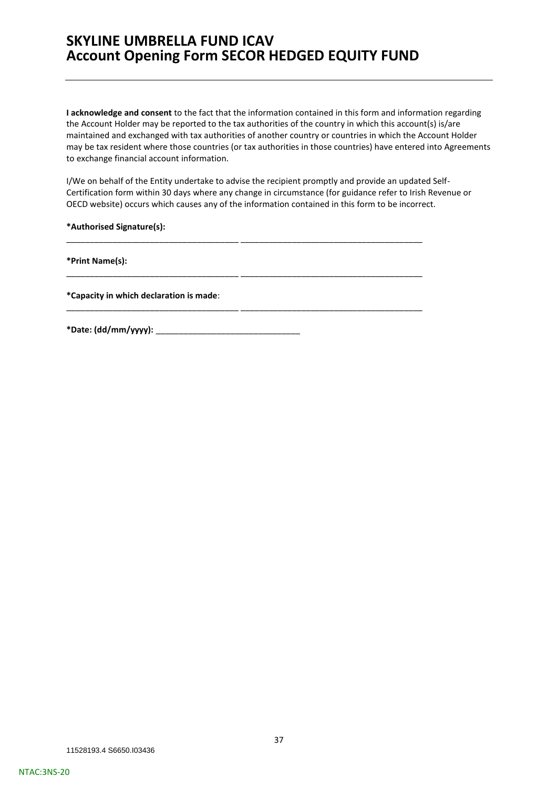**I acknowledge and consent** to the fact that the information contained in this form and information regarding the Account Holder may be reported to the tax authorities of the country in which this account(s) is/are maintained and exchanged with tax authorities of another country or countries in which the Account Holder may be tax resident where those countries (or tax authorities in those countries) have entered into Agreements to exchange financial account information.

I/We on behalf of the Entity undertake to advise the recipient promptly and provide an updated Self-Certification form within 30 days where any change in circumstance (for guidance refer to Irish Revenue or OECD website) occurs which causes any of the information contained in this form to be incorrect.

\_\_\_\_\_\_\_\_\_\_\_\_\_\_\_\_\_\_\_\_\_\_\_\_\_\_\_\_\_\_\_\_\_\_\_\_\_ \_\_\_\_\_\_\_\_\_\_\_\_\_\_\_\_\_\_\_\_\_\_\_\_\_\_\_\_\_\_\_\_\_\_\_\_\_\_\_

\_\_\_\_\_\_\_\_\_\_\_\_\_\_\_\_\_\_\_\_\_\_\_\_\_\_\_\_\_\_\_\_\_\_\_\_\_ \_\_\_\_\_\_\_\_\_\_\_\_\_\_\_\_\_\_\_\_\_\_\_\_\_\_\_\_\_\_\_\_\_\_\_\_\_\_\_

\_\_\_\_\_\_\_\_\_\_\_\_\_\_\_\_\_\_\_\_\_\_\_\_\_\_\_\_\_\_\_\_\_\_\_\_\_ \_\_\_\_\_\_\_\_\_\_\_\_\_\_\_\_\_\_\_\_\_\_\_\_\_\_\_\_\_\_\_\_\_\_\_\_\_\_\_

**\*Authorised Signature(s):** 

**\*Print Name(s):** 

**\*Capacity in which declaration is made**:

**\*Date: (dd/mm/yyyy):** \_\_\_\_\_\_\_\_\_\_\_\_\_\_\_\_\_\_\_\_\_\_\_\_\_\_\_\_\_\_\_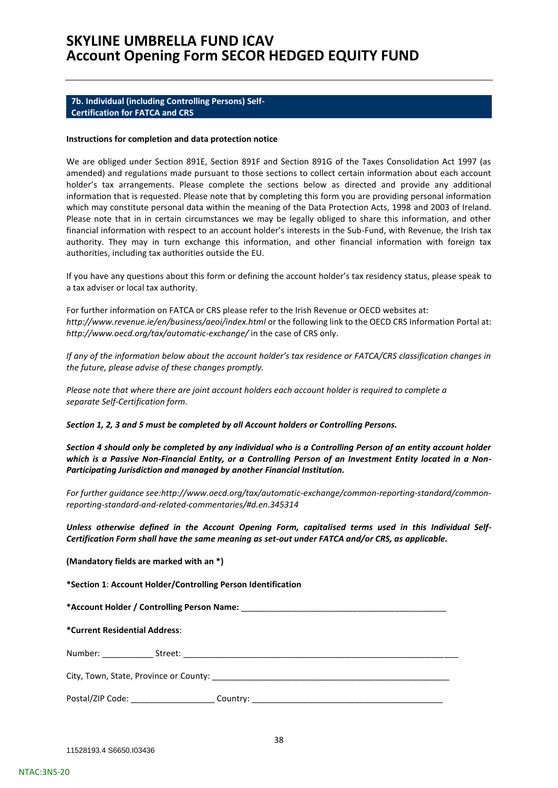### <span id="page-37-0"></span>**7b. Individual (including Controlling Persons) Self-Certification for FATCA and CRS**

#### **Instructions for completion and data protection notice**

We are obliged under Section 891E, Section 891F and Section 891G of the Taxes Consolidation Act 1997 (as amended) and regulations made pursuant to those sections to collect certain information about each account holder's tax arrangements. Please complete the sections below as directed and provide any additional information that is requested. Please note that by completing this form you are providing personal information which may constitute personal data within the meaning of the Data Protection Acts, 1998 and 2003 of Ireland. Please note that in in certain circumstances we may be legally obliged to share this information, and other financial information with respect to an account holder's interests in the Sub-Fund, with Revenue, the Irish tax authority. They may in turn exchange this information, and other financial information with foreign tax authorities, including tax authorities outside the EU.

If you have any questions about this form or defining the account holder's tax residency status, please speak to a tax adviser or local tax authority.

For further information on FATCA or CRS please refer to the Irish Revenue or OECD websites at: *http://www.revenue.ie/en/business/aeoi/index.html* or the following link to the OECD CRS Information Portal at: *http://www.oecd.org/tax/automatic-exchange/* in the case of CRS only.

*If any of the information below about the account holder's tax residence or FATCA/CRS classification changes in the future, please advise of these changes promptly.*

*Please note that where there are joint account holders each account holder is required to complete a separate Self-Certification form.* 

*Section 1, 2, 3 and 5 must be completed by all Account holders or Controlling Persons.*

*Section 4 should only be completed by any individual who is a Controlling Person of an entity account holder which is a Passive Non-Financial Entity, or a Controlling Person of an Investment Entity located in a Non-Participating Jurisdiction and managed by another Financial Institution.* 

*For further guidance see:http://www.oecd.org/tax/automatic-exchange/common-reporting-standard/commonreporting-standard-and-related-commentaries/#d.en.345314* 

*Unless otherwise defined in the Account Opening Form, capitalised terms used in this Individual Self-Certification Form shall have the same meaning as set-out under FATCA and/or CRS, as applicable.*

| (Mandatory fields are marked with an *) |  |
|-----------------------------------------|--|
|-----------------------------------------|--|

**\*Section 1**: **Account Holder/Controlling Person Identification** 

**\*Account Holder / Controlling Person Name:** \_\_\_\_\_\_\_\_\_\_\_\_\_\_\_\_\_\_\_\_\_\_\_\_\_\_\_\_\_\_\_\_\_\_\_\_\_\_\_\_\_\_\_\_

**\*Current Residential Address**:

Number: \_\_\_\_\_\_\_\_\_\_\_ Street: \_\_\_\_\_\_\_\_\_\_\_\_\_\_\_\_\_\_\_\_\_\_\_\_\_\_\_\_\_\_\_\_\_\_\_\_\_\_\_\_\_\_\_\_\_\_\_\_\_\_\_\_\_\_\_\_\_\_\_

City, Town, State, Province or County: \_\_\_\_\_\_\_\_\_\_\_\_\_\_\_\_\_\_\_\_\_\_\_\_\_\_\_\_\_\_\_\_\_\_\_\_\_\_\_\_\_\_\_\_\_\_\_\_\_\_\_

Postal/ZIP Code: \_\_\_\_\_\_\_\_\_\_\_\_\_\_\_\_\_\_\_\_\_\_\_ Country: \_\_\_\_\_\_\_\_\_\_\_\_\_\_\_\_\_\_\_\_\_\_\_\_\_\_\_\_\_\_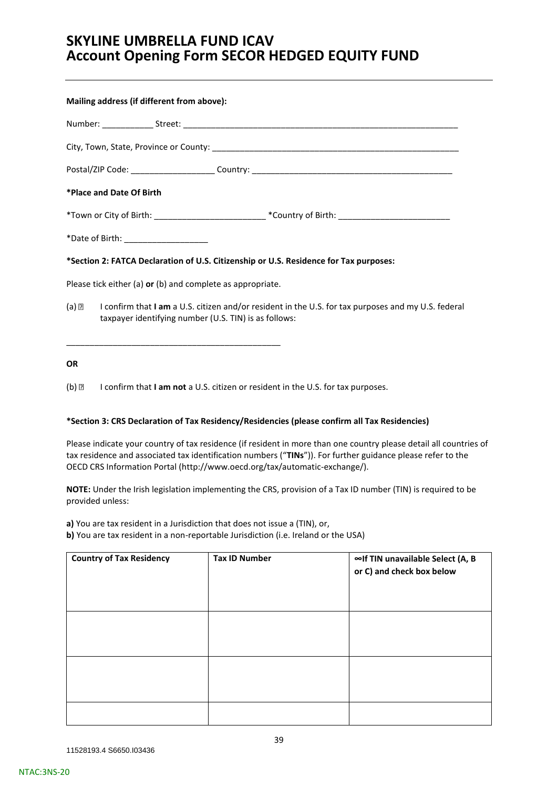| Mailing address (if different from above):                 |                                                                                                         |
|------------------------------------------------------------|---------------------------------------------------------------------------------------------------------|
|                                                            |                                                                                                         |
|                                                            |                                                                                                         |
|                                                            |                                                                                                         |
| *Place and Date Of Birth                                   |                                                                                                         |
|                                                            |                                                                                                         |
| *Date of Birth: ______________________                     |                                                                                                         |
|                                                            | *Section 2: FATCA Declaration of U.S. Citizenship or U.S. Residence for Tax purposes:                   |
| Please tick either (a) or (b) and complete as appropriate. |                                                                                                         |
| taxpayer identifying number (U.S. TIN) is as follows:      | (a) a confirm that I am a U.S. citizen and/or resident in the U.S. for tax purposes and my U.S. federal |

# **OR**

(b) I confirm that **I am not** a U.S. citizen or resident in the U.S. for tax purposes.

\_\_\_\_\_\_\_\_\_\_\_\_\_\_\_\_\_\_\_\_\_\_\_\_\_\_\_\_\_\_\_\_\_\_\_\_\_\_\_\_\_\_\_\_\_\_

### **\*Section 3: CRS Declaration of Tax Residency/Residencies (please confirm all Tax Residencies)**

Please indicate your country of tax residence (if resident in more than one country please detail all countries of tax residence and associated tax identification numbers ("**TINs**")). For further guidance please refer to the OECD CRS Information Portal [\(http://www.oecd.org/tax/automatic-exchange/\)](http://www.oecd.org/tax/automatic-exchange/).

**NOTE:** Under the Irish legislation implementing the CRS, provision of a Tax ID number (TIN) is required to be provided unless:

**a)** You are tax resident in a Jurisdiction that does not issue a (TIN), or, **b)** You are tax resident in a non-reportable Jurisdiction (i.e. Ireland or the USA)

| <b>Country of Tax Residency</b> | <b>Tax ID Number</b> | ∞If TIN unavailable Select (A, B<br>or C) and check box below |
|---------------------------------|----------------------|---------------------------------------------------------------|
|                                 |                      |                                                               |
|                                 |                      |                                                               |
|                                 |                      |                                                               |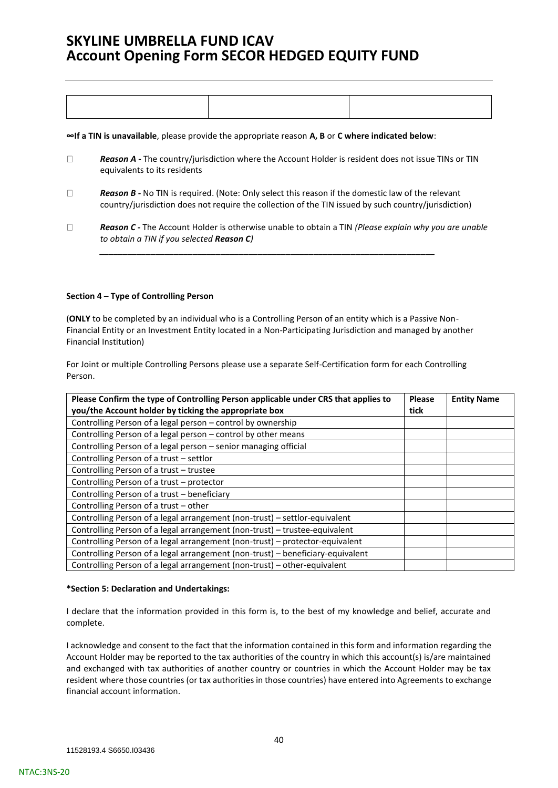**∞If a TIN is unavailable**, please provide the appropriate reason **A, B** or **C where indicated below**:

- $\Box$ *Reason A -* The country/jurisdiction where the Account Holder is resident does not issue TINs or TIN equivalents to its residents
- $\Box$ *Reason B -* No TIN is required. (Note: Only select this reason if the domestic law of the relevant country/jurisdiction does not require the collection of the TIN issued by such country/jurisdiction)

*\_\_\_\_\_\_\_\_\_\_\_\_\_\_\_\_\_\_\_\_\_\_\_\_\_\_\_\_\_\_\_\_\_\_\_\_\_\_\_\_\_\_\_\_\_\_\_\_\_\_\_\_\_\_\_\_\_\_\_\_\_\_\_\_\_\_\_\_\_\_\_\_*

*Reason C -* The Account Holder is otherwise unable to obtain a TIN *(Please explain why you are unable*   $\Box$ *to obtain a TIN if you selected Reason C)* 

### **Section 4 – Type of Controlling Person**

(**ONLY** to be completed by an individual who is a Controlling Person of an entity which is a Passive Non-Financial Entity or an Investment Entity located in a Non-Participating Jurisdiction and managed by another Financial Institution)

For Joint or multiple Controlling Persons please use a separate Self-Certification form for each Controlling Person.

| Please Confirm the type of Controlling Person applicable under CRS that applies to<br>you/the Account holder by ticking the appropriate box | <b>Please</b><br>tick | <b>Entity Name</b> |
|---------------------------------------------------------------------------------------------------------------------------------------------|-----------------------|--------------------|
| Controlling Person of a legal person - control by ownership                                                                                 |                       |                    |
| Controlling Person of a legal person - control by other means                                                                               |                       |                    |
| Controlling Person of a legal person - senior managing official                                                                             |                       |                    |
| Controlling Person of a trust - settlor                                                                                                     |                       |                    |
| Controlling Person of a trust - trustee                                                                                                     |                       |                    |
| Controlling Person of a trust - protector                                                                                                   |                       |                    |
| Controlling Person of a trust - beneficiary                                                                                                 |                       |                    |
| Controlling Person of a trust - other                                                                                                       |                       |                    |
| Controlling Person of a legal arrangement (non-trust) - settlor-equivalent                                                                  |                       |                    |
| Controlling Person of a legal arrangement (non-trust) - trustee-equivalent                                                                  |                       |                    |
| Controlling Person of a legal arrangement (non-trust) - protector-equivalent                                                                |                       |                    |
| Controlling Person of a legal arrangement (non-trust) - beneficiary-equivalent                                                              |                       |                    |
| Controlling Person of a legal arrangement (non-trust) - other-equivalent                                                                    |                       |                    |

### **\*Section 5: Declaration and Undertakings:**

I declare that the information provided in this form is, to the best of my knowledge and belief, accurate and complete.

I acknowledge and consent to the fact that the information contained in this form and information regarding the Account Holder may be reported to the tax authorities of the country in which this account(s) is/are maintained and exchanged with tax authorities of another country or countries in which the Account Holder may be tax resident where those countries (or tax authorities in those countries) have entered into Agreements to exchange financial account information.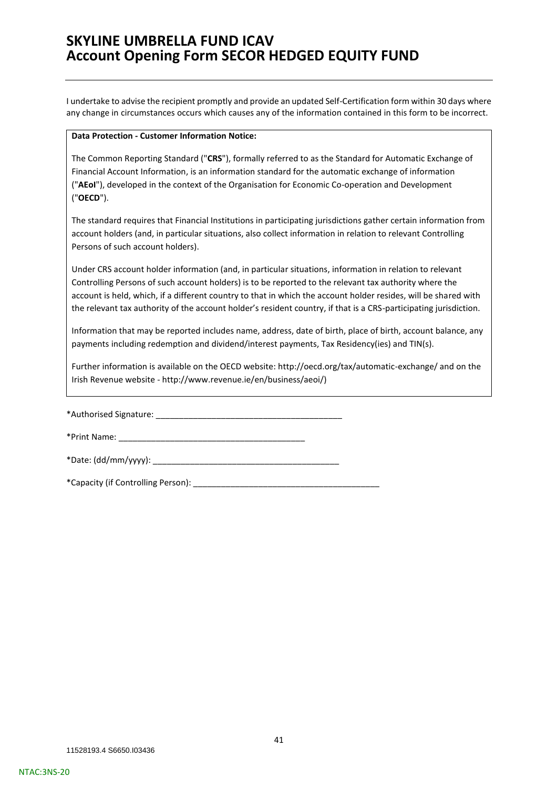I undertake to advise the recipient promptly and provide an updated Self-Certification form within 30 days where any change in circumstances occurs which causes any of the information contained in this form to be incorrect.

#### **Data Protection - Customer Information Notice:**

The Common Reporting Standard ("**CRS**"), formally referred to as the Standard for Automatic Exchange of Financial Account Information, is an information standard for the automatic exchange of information ("**AEoI**"), developed in the context of the Organisation for Economic Co-operation and Development ("**OECD**").

The standard requires that Financial Institutions in participating jurisdictions gather certain information from account holders (and, in particular situations, also collect information in relation to relevant Controlling Persons of such account holders).

Under CRS account holder information (and, in particular situations, information in relation to relevant Controlling Persons of such account holders) is to be reported to the relevant tax authority where the account is held, which, if a different country to that in which the account holder resides, will be shared with the relevant tax authority of the account holder's resident country, if that is a CRS-participating jurisdiction.

Information that may be reported includes name, address, date of birth, place of birth, account balance, any payments including redemption and dividend/interest payments, Tax Residency(ies) and TIN(s).

Further information is available on the OECD website: http://oecd.org/tax/automatic-exchange/ and on the Irish Revenue website - [http://www.revenue.ie/en/business/aeoi/\)](http://www.revenue.ie/en/business/aeoi/)

\*Authorised Signature: \_\_\_\_\_\_\_\_\_\_\_\_\_\_\_\_\_\_\_\_\_\_\_\_\_\_\_\_\_\_\_\_\_\_\_\_\_\_\_\_

\*Print Name: \_\_\_\_\_\_\_\_\_\_\_\_\_\_\_\_\_\_\_\_\_\_\_\_\_\_\_\_\_\_\_\_\_\_\_\_\_\_\_\_

\*Date: (dd/mm/yyyy): \_\_\_\_\_\_\_\_\_\_\_\_\_\_\_\_\_\_\_\_\_\_\_\_\_\_\_\_\_\_\_\_\_\_\_\_\_\_\_\_

\*Capacity (if Controlling Person): \_\_\_\_\_\_\_\_\_\_\_\_\_\_\_\_\_\_\_\_\_\_\_\_\_\_\_\_\_\_\_\_\_\_\_\_\_\_\_\_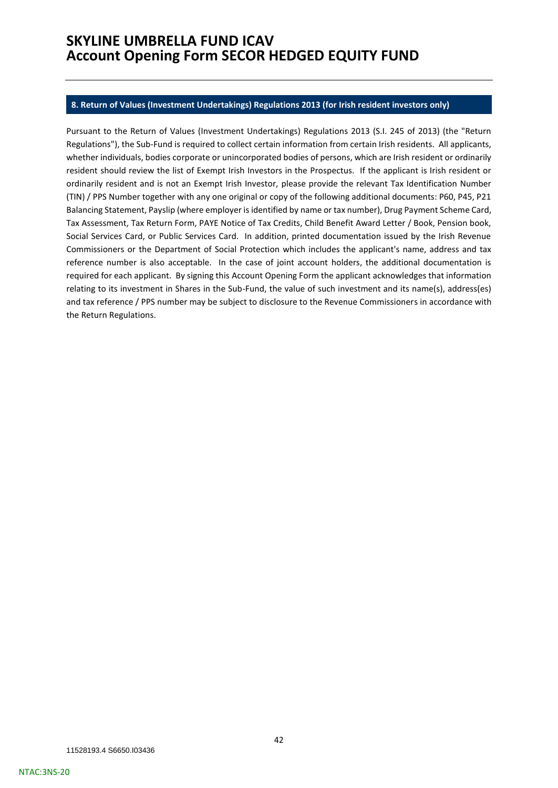#### <span id="page-41-0"></span>**8. Return of Values (Investment Undertakings) Regulations 2013 (for Irish resident investors only)**

Pursuant to the Return of Values (Investment Undertakings) Regulations 2013 (S.I. 245 of 2013) (the "Return Regulations"), the Sub-Fund is required to collect certain information from certain Irish residents. All applicants, whether individuals, bodies corporate or unincorporated bodies of persons, which are Irish resident or ordinarily resident should review the list of Exempt Irish Investors in the Prospectus. If the applicant is Irish resident or ordinarily resident and is not an Exempt Irish Investor, please provide the relevant Tax Identification Number (TIN) / PPS Number together with any one original or copy of the following additional documents: P60, P45, P21 Balancing Statement, Payslip (where employer is identified by name or tax number), Drug Payment Scheme Card, Tax Assessment, Tax Return Form, PAYE Notice of Tax Credits, Child Benefit Award Letter / Book, Pension book, Social Services Card, or Public Services Card. In addition, printed documentation issued by the Irish Revenue Commissioners or the Department of Social Protection which includes the applicant's name, address and tax reference number is also acceptable. In the case of joint account holders, the additional documentation is required for each applicant. By signing this Account Opening Form the applicant acknowledges that information relating to its investment in Shares in the Sub-Fund, the value of such investment and its name(s), address(es) and tax reference / PPS number may be subject to disclosure to the Revenue Commissioners in accordance with the Return Regulations.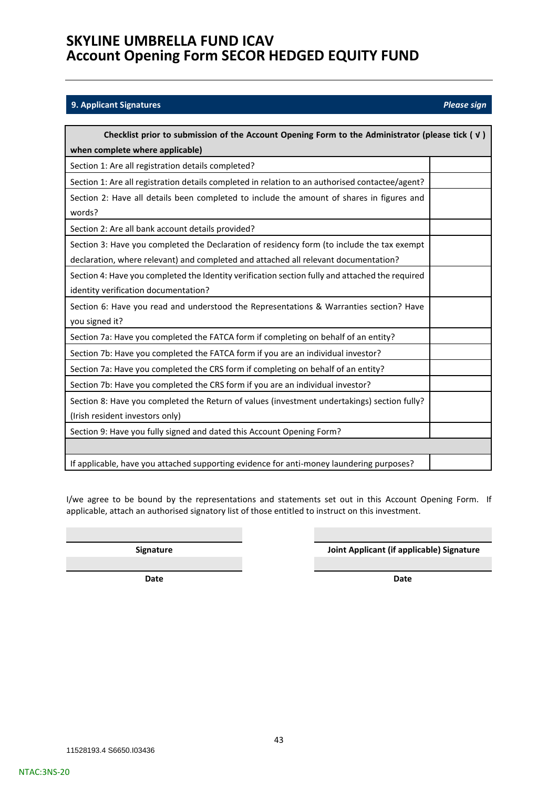### <span id="page-42-0"></span>**9. Applicant Signatures** *Please sign*

| Checklist prior to submission of the Account Opening Form to the Administrator (please tick $(\forall)$                                                                           |  |
|-----------------------------------------------------------------------------------------------------------------------------------------------------------------------------------|--|
| when complete where applicable)                                                                                                                                                   |  |
| Section 1: Are all registration details completed?                                                                                                                                |  |
| Section 1: Are all registration details completed in relation to an authorised contactee/agent?                                                                                   |  |
| Section 2: Have all details been completed to include the amount of shares in figures and<br>words?                                                                               |  |
| Section 2: Are all bank account details provided?                                                                                                                                 |  |
| Section 3: Have you completed the Declaration of residency form (to include the tax exempt<br>declaration, where relevant) and completed and attached all relevant documentation? |  |
| Section 4: Have you completed the Identity verification section fully and attached the required<br>identity verification documentation?                                           |  |
| Section 6: Have you read and understood the Representations & Warranties section? Have<br>you signed it?                                                                          |  |
| Section 7a: Have you completed the FATCA form if completing on behalf of an entity?                                                                                               |  |
| Section 7b: Have you completed the FATCA form if you are an individual investor?                                                                                                  |  |
| Section 7a: Have you completed the CRS form if completing on behalf of an entity?                                                                                                 |  |
| Section 7b: Have you completed the CRS form if you are an individual investor?                                                                                                    |  |
| Section 8: Have you completed the Return of values (investment undertakings) section fully?<br>(Irish resident investors only)                                                    |  |
| Section 9: Have you fully signed and dated this Account Opening Form?                                                                                                             |  |
|                                                                                                                                                                                   |  |
| If applicable, have you attached supporting evidence for anti-money laundering purposes?                                                                                          |  |

I/we agree to be bound by the representations and statements set out in this Account Opening Form. If applicable, attach an authorised signatory list of those entitled to instruct on this investment.

**Signature Joint Applicant (if applicable) Signature**

**Date Date**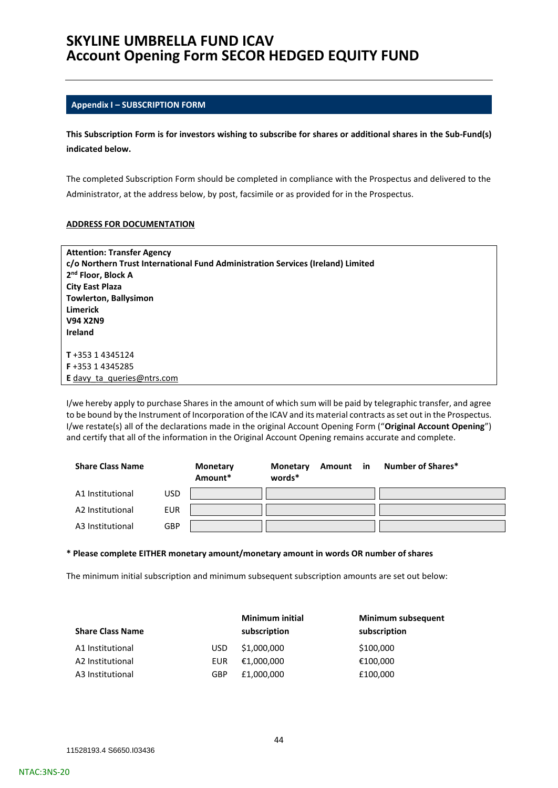### <span id="page-43-0"></span>**Appendix I – SUBSCRIPTION FORM**

**This Subscription Form is for investors wishing to subscribe for shares or additional shares in the Sub-Fund(s) indicated below.**

The completed Subscription Form should be completed in compliance with the Prospectus and delivered to the Administrator, at the address below, by post, facsimile or as provided for in the Prospectus.

#### **ADDRESS FOR DOCUMENTATION**

| <b>Attention: Transfer Agency</b>                                               |
|---------------------------------------------------------------------------------|
| c/o Northern Trust International Fund Administration Services (Ireland) Limited |
| 2 <sup>nd</sup> Floor, Block A                                                  |
| <b>City East Plaza</b>                                                          |
| <b>Towlerton, Ballysimon</b>                                                    |
| Limerick                                                                        |
| <b>V94 X2N9</b>                                                                 |
| Ireland                                                                         |
|                                                                                 |
| T+353 14345124                                                                  |
| F+353 14345285                                                                  |
| E davy ta queries@ntrs.com                                                      |
|                                                                                 |

I/we hereby apply to purchase Shares in the amount of which sum will be paid by telegraphic transfer, and agree to be bound by the Instrument of Incorporation of the ICAV and its material contracts as set out in the Prospectus. I/we restate(s) all of the declarations made in the original Account Opening Form ("**Original Account Opening**") and certify that all of the information in the Original Account Opening remains accurate and complete.

| <b>Share Class Name</b> |            | <b>Monetary</b><br>Amount* | Monetary<br>words* | Amount in | <b>Number of Shares*</b> |
|-------------------------|------------|----------------------------|--------------------|-----------|--------------------------|
| A1 Institutional        | USD        |                            |                    |           |                          |
| A2 Institutional        | <b>EUR</b> |                            |                    |           |                          |
| A3 Institutional        | GBP        |                            |                    |           |                          |

#### **\* Please complete EITHER monetary amount/monetary amount in words OR number of shares**

The minimum initial subscription and minimum subsequent subscription amounts are set out below:

|                         |            | <b>Minimum initial</b> | Minimum subsequent |
|-------------------------|------------|------------------------|--------------------|
| <b>Share Class Name</b> |            | subscription           | subscription       |
| A1 Institutional        | USD.       | \$1,000,000            | \$100,000          |
| A2 Institutional        | <b>EUR</b> | €1.000.000             | €100,000           |
| A3 Institutional        | <b>GBP</b> | £1,000,000             | £100,000           |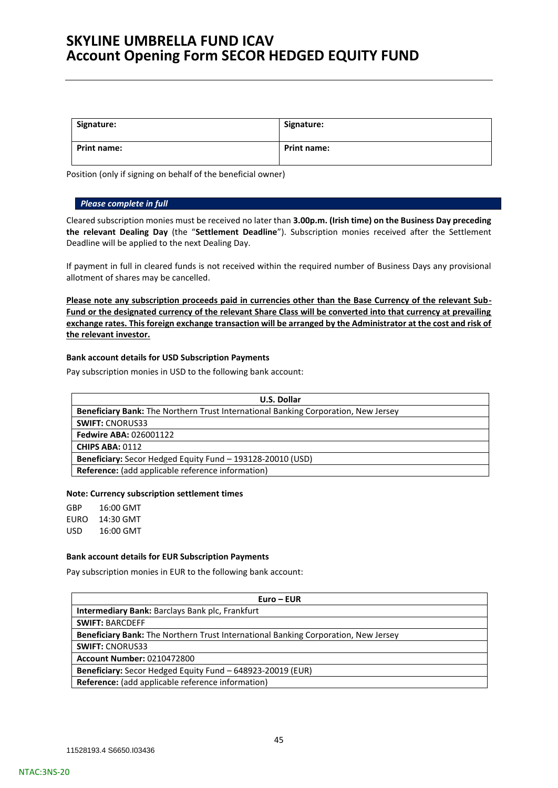| Signature:         | Signature:         |
|--------------------|--------------------|
| <b>Print name:</b> | <b>Print name:</b> |

Position (only if signing on behalf of the beneficial owner)

#### *Please complete in full*

Cleared subscription monies must be received no later than **3.00p.m. (Irish time) on the Business Day preceding the relevant Dealing Day** (the "**Settlement Deadline**"). Subscription monies received after the Settlement Deadline will be applied to the next Dealing Day.

If payment in full in cleared funds is not received within the required number of Business Days any provisional allotment of shares may be cancelled.

**Please note any subscription proceeds paid in currencies other than the Base Currency of the relevant Sub-Fund or the designated currency of the relevant Share Class will be converted into that currency at prevailing exchange rates. This foreign exchange transaction will be arranged by the Administrator at the cost and risk of the relevant investor.**

### **Bank account details for USD Subscription Payments**

Pay subscription monies in USD to the following bank account:

| <b>U.S. Dollar</b>                                                                 |
|------------------------------------------------------------------------------------|
| Beneficiary Bank: The Northern Trust International Banking Corporation, New Jersey |
| <b>SWIFT: CNORUS33</b>                                                             |
| <b>Fedwire ABA: 026001122</b>                                                      |
| <b>CHIPS ABA: 0112</b>                                                             |
| Beneficiary: Secor Hedged Equity Fund - 193128-20010 (USD)                         |
| Reference: (add applicable reference information)                                  |

#### **Note: Currency subscription settlement times**

GBP 16:00 GMT EURO 14:30 GMT USD 16:00 GMT

#### **Bank account details for EUR Subscription Payments**

Pay subscription monies in EUR to the following bank account:

| $Euro - EUR$                                                                              |
|-------------------------------------------------------------------------------------------|
| <b>Intermediary Bank: Barclays Bank plc, Frankfurt</b>                                    |
| <b>SWIFT: BARCDEFF</b>                                                                    |
| <b>Beneficiary Bank:</b> The Northern Trust International Banking Corporation, New Jersey |
| <b>SWIFT: CNORUS33</b>                                                                    |
| <b>Account Number: 0210472800</b>                                                         |
| Beneficiary: Secor Hedged Equity Fund - 648923-20019 (EUR)                                |
| <b>Reference:</b> (add applicable reference information)                                  |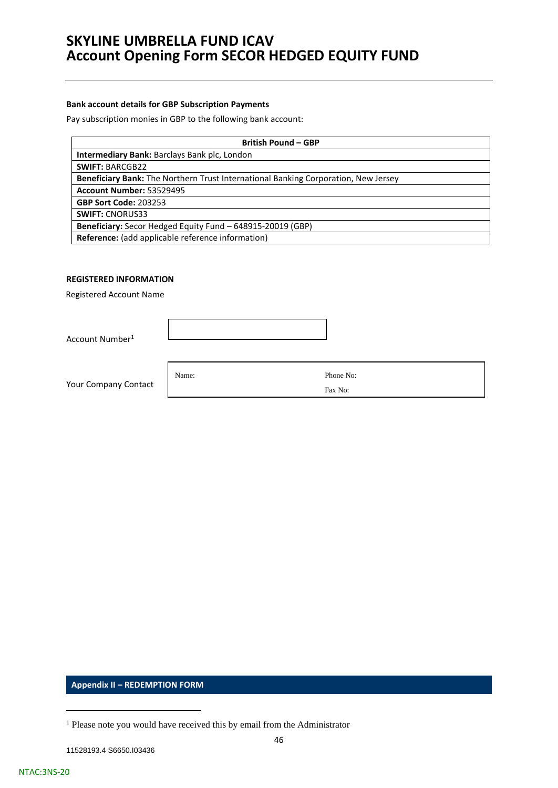### **Bank account details for GBP Subscription Payments**

Pay subscription monies in GBP to the following bank account:

| <b>British Pound - GBP</b>                                                         |
|------------------------------------------------------------------------------------|
| <b>Intermediary Bank: Barclays Bank plc, London</b>                                |
| <b>SWIFT: BARCGB22</b>                                                             |
| Beneficiary Bank: The Northern Trust International Banking Corporation, New Jersey |
| <b>Account Number: 53529495</b>                                                    |
| <b>GBP Sort Code: 203253</b>                                                       |
| <b>SWIFT: CNORUS33</b>                                                             |
| <b>Beneficiary:</b> Secor Hedged Equity Fund - 648915-20019 (GBP)                  |
| Reference: (add applicable reference information)                                  |

### **REGISTERED INFORMATION**

Registered Account Name

Account Number<sup>1</sup>

Your Company Contact

Name: Phone No: Fax No:

<span id="page-45-0"></span>**Appendix II – REDEMPTION FORM**

<sup>&</sup>lt;sup>1</sup> Please note you would have received this by email from the Administrator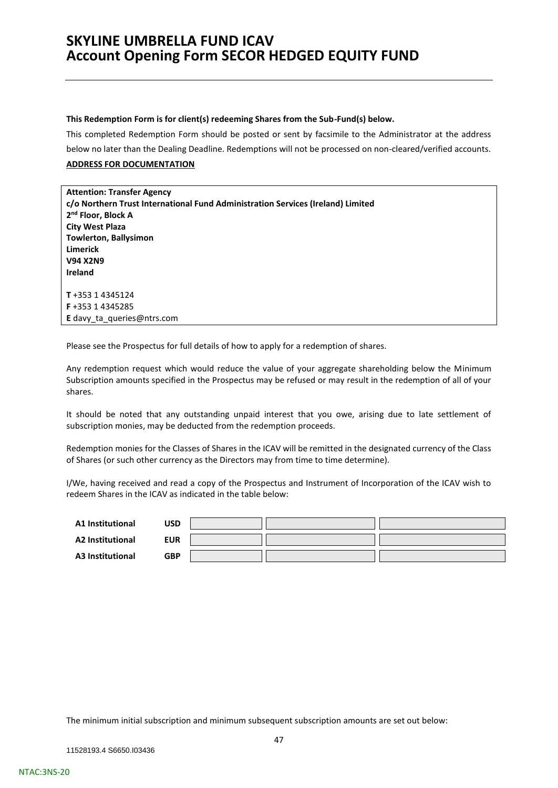#### **This Redemption Form is for client(s) redeeming Shares from the Sub-Fund(s) below.**

This completed Redemption Form should be posted or sent by facsimile to the Administrator at the address below no later than the Dealing Deadline. Redemptions will not be processed on non-cleared/verified accounts.

### **ADDRESS FOR DOCUMENTATION**

**Attention: Transfer Agency c/o Northern Trust International Fund Administration Services (Ireland) Limited 2 nd Floor, Block A City West Plaza Towlerton, Ballysimon Limerick V94 X2N9 Ireland T** +353 1 4345124 **F** +353 1 4345285 **E** [davy\\_ta\\_queries@ntrs.com](mailto:davy_ta_queries@ntrs.com)

Please see the Prospectus for full details of how to apply for a redemption of shares.

Any redemption request which would reduce the value of your aggregate shareholding below the Minimum Subscription amounts specified in the Prospectus may be refused or may result in the redemption of all of your shares.

It should be noted that any outstanding unpaid interest that you owe, arising due to late settlement of subscription monies, may be deducted from the redemption proceeds.

Redemption monies for the Classes of Shares in the ICAV will be remitted in the designated currency of the Class of Shares (or such other currency as the Directors may from time to time determine).

I/We, having received and read a copy of the Prospectus and Instrument of Incorporation of the ICAV wish to redeem Shares in the ICAV as indicated in the table below:

| A1 Institutional | USD        |  |  |
|------------------|------------|--|--|
| A2 Institutional | <b>EUR</b> |  |  |
| A3 Institutional | <b>GBP</b> |  |  |

The minimum initial subscription and minimum subsequent subscription amounts are set out below: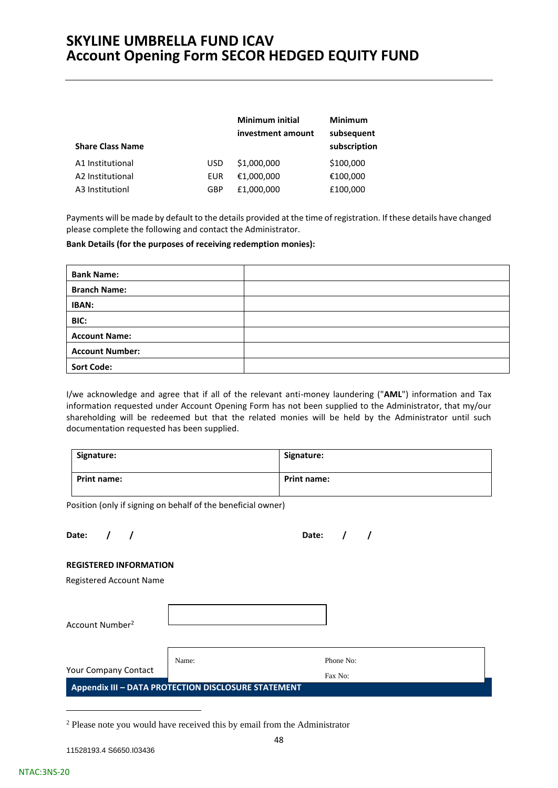| <b>Share Class Name</b> |            | <b>Minimum initial</b><br>investment amount | <b>Minimum</b><br>subsequent<br>subscription |
|-------------------------|------------|---------------------------------------------|----------------------------------------------|
| A1 Institutional        | <b>USD</b> | \$1,000,000                                 | \$100,000                                    |
| A2 Institutional        | EUR        | €1,000,000                                  | €100,000                                     |
| A3 Institutionl         | GBP        | £1,000,000                                  | £100,000                                     |

Payments will be made by default to the details provided at the time of registration. If these details have changed please complete the following and contact the Administrator.

**Bank Details (for the purposes of receiving redemption monies):**

| <b>Bank Name:</b>      |  |
|------------------------|--|
| <b>Branch Name:</b>    |  |
| IBAN:                  |  |
| BIC:                   |  |
| <b>Account Name:</b>   |  |
| <b>Account Number:</b> |  |
| <b>Sort Code:</b>      |  |

I/we acknowledge and agree that if all of the relevant anti-money laundering ("**AML**") information and Tax information requested under Account Opening Form has not been supplied to the Administrator, that my/our shareholding will be redeemed but that the related monies will be held by the Administrator until such documentation requested has been supplied.

| Signature:         | Signature:         |
|--------------------|--------------------|
| <b>Print name:</b> | <b>Print name:</b> |

Position (only if signing on behalf of the beneficial owner)

| Date: / |  |  | Date: / | $\overline{\phantom{a}}$ |
|---------|--|--|---------|--------------------------|
|         |  |  |         |                          |

#### **REGISTERED INFORMATION**

Registered Account Name

Account Number<sup>2</sup> Your Company Contact Name: Phone No: Fax No:

<span id="page-47-0"></span>**Appendix III – DATA PROTECTION DISCLOSURE STATEMENT**

<sup>2</sup> Please note you would have received this by email from the Administrator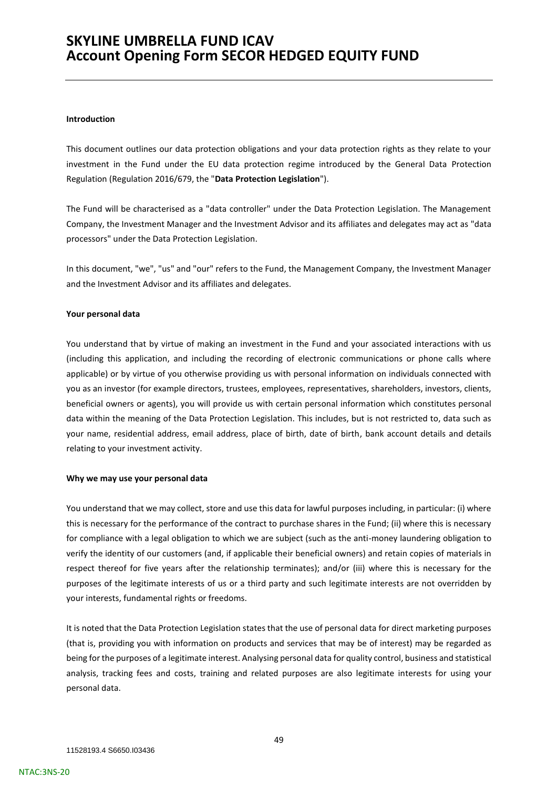#### **Introduction**

This document outlines our data protection obligations and your data protection rights as they relate to your investment in the Fund under the EU data protection regime introduced by the General Data Protection Regulation (Regulation 2016/679, the "**Data Protection Legislation**").

The Fund will be characterised as a "data controller" under the Data Protection Legislation. The Management Company, the Investment Manager and the Investment Advisor and its affiliates and delegates may act as "data processors" under the Data Protection Legislation.

In this document, "we", "us" and "our" refers to the Fund, the Management Company, the Investment Manager and the Investment Advisor and its affiliates and delegates.

#### **Your personal data**

You understand that by virtue of making an investment in the Fund and your associated interactions with us (including this application, and including the recording of electronic communications or phone calls where applicable) or by virtue of you otherwise providing us with personal information on individuals connected with you as an investor (for example directors, trustees, employees, representatives, shareholders, investors, clients, beneficial owners or agents), you will provide us with certain personal information which constitutes personal data within the meaning of the Data Protection Legislation. This includes, but is not restricted to, data such as your name, residential address, email address, place of birth, date of birth, bank account details and details relating to your investment activity.

### **Why we may use your personal data**

You understand that we may collect, store and use this data for lawful purposes including, in particular: (i) where this is necessary for the performance of the contract to purchase shares in the Fund; (ii) where this is necessary for compliance with a legal obligation to which we are subject (such as the anti-money laundering obligation to verify the identity of our customers (and, if applicable their beneficial owners) and retain copies of materials in respect thereof for five years after the relationship terminates); and/or (iii) where this is necessary for the purposes of the legitimate interests of us or a third party and such legitimate interests are not overridden by your interests, fundamental rights or freedoms.

It is noted that the Data Protection Legislation states that the use of personal data for direct marketing purposes (that is, providing you with information on products and services that may be of interest) may be regarded as being for the purposes of a legitimate interest. Analysing personal data for quality control, business and statistical analysis, tracking fees and costs, training and related purposes are also legitimate interests for using your personal data.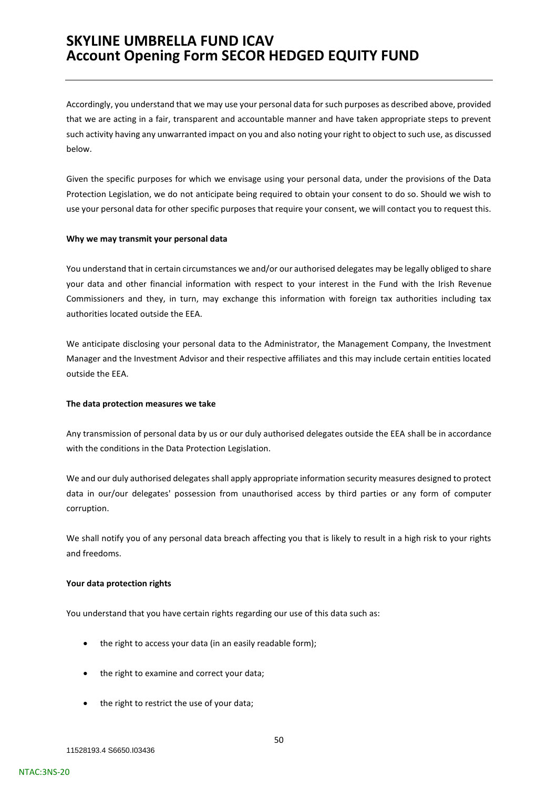Accordingly, you understand that we may use your personal data for such purposes as described above, provided that we are acting in a fair, transparent and accountable manner and have taken appropriate steps to prevent such activity having any unwarranted impact on you and also noting your right to object to such use, as discussed below.

Given the specific purposes for which we envisage using your personal data, under the provisions of the Data Protection Legislation, we do not anticipate being required to obtain your consent to do so. Should we wish to use your personal data for other specific purposes that require your consent, we will contact you to request this.

#### **Why we may transmit your personal data**

You understand that in certain circumstances we and/or our authorised delegates may be legally obliged to share your data and other financial information with respect to your interest in the Fund with the Irish Revenue Commissioners and they, in turn, may exchange this information with foreign tax authorities including tax authorities located outside the EEA.

We anticipate disclosing your personal data to the Administrator, the Management Company, the Investment Manager and the Investment Advisor and their respective affiliates and this may include certain entities located outside the EEA.

#### **The data protection measures we take**

Any transmission of personal data by us or our duly authorised delegates outside the EEA shall be in accordance with the conditions in the Data Protection Legislation.

We and our duly authorised delegates shall apply appropriate information security measures designed to protect data in our/our delegates' possession from unauthorised access by third parties or any form of computer corruption.

We shall notify you of any personal data breach affecting you that is likely to result in a high risk to your rights and freedoms.

### **Your data protection rights**

You understand that you have certain rights regarding our use of this data such as:

- the right to access your data (in an easily readable form);
- the right to examine and correct your data;
- the right to restrict the use of your data;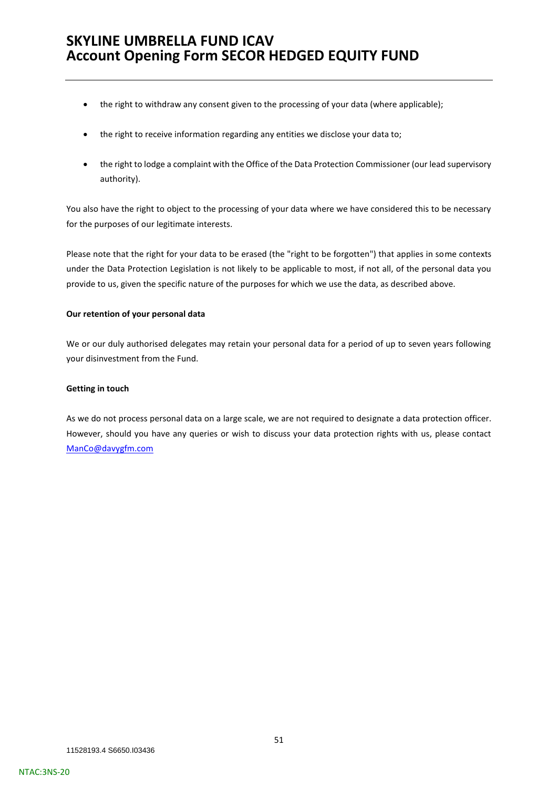- the right to withdraw any consent given to the processing of your data (where applicable);
- the right to receive information regarding any entities we disclose your data to;
- the right to lodge a complaint with the Office of the Data Protection Commissioner (our lead supervisory authority).

You also have the right to object to the processing of your data where we have considered this to be necessary for the purposes of our legitimate interests.

Please note that the right for your data to be erased (the "right to be forgotten") that applies in some contexts under the Data Protection Legislation is not likely to be applicable to most, if not all, of the personal data you provide to us, given the specific nature of the purposes for which we use the data, as described above.

### **Our retention of your personal data**

We or our duly authorised delegates may retain your personal data for a period of up to seven years following your disinvestment from the Fund.

### **Getting in touch**

As we do not process personal data on a large scale, we are not required to designate a data protection officer. However, should you have any queries or wish to discuss your data protection rights with us, please contact [ManCo@davygfm.com](mailto:ManCo@davygfm.com)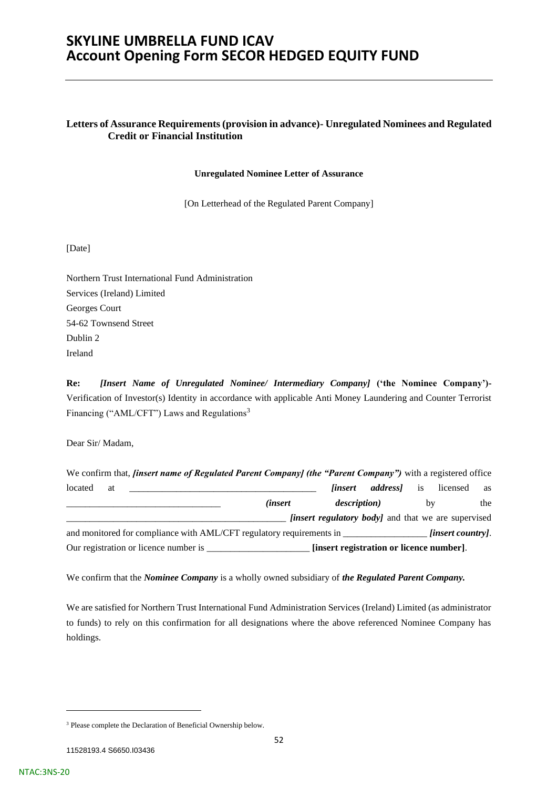### **Letters of Assurance Requirements (provision in advance)- Unregulated Nominees and Regulated Credit or Financial Institution**

#### **Unregulated Nominee Letter of Assurance**

[On Letterhead of the Regulated Parent Company]

[Date]

Northern Trust International Fund Administration Services (Ireland) Limited Georges Court 54-62 Townsend Street Dublin 2 Ireland

**Re:** *[Insert Name of Unregulated Nominee/ Intermediary Company]* **('the Nominee Company')-** Verification of Investor(s) Identity in accordance with applicable Anti Money Laundering and Counter Terrorist Financing ("AML/CFT") Laws and Regulations<sup>3</sup>

Dear Sir/ Madam,

|         |    | We confirm that, <i>finsert name of Regulated Parent Company]</i> (the "Parent Company") with a registered office |                  |                                                            |                            |    |                          |     |
|---------|----|-------------------------------------------------------------------------------------------------------------------|------------------|------------------------------------------------------------|----------------------------|----|--------------------------|-----|
| located | at |                                                                                                                   |                  |                                                            | <i>linsert addressl</i> is |    | licensed                 | as  |
|         |    |                                                                                                                   | <i>(insert</i> ) | <i>description</i> )                                       |                            | by |                          | the |
|         |    |                                                                                                                   |                  | <i>finsert regulatory body]</i> and that we are supervised |                            |    |                          |     |
|         |    | and monitored for compliance with AML/CFT regulatory requirements in                                              |                  |                                                            |                            |    | <i>finsert countryl.</i> |     |
|         |    |                                                                                                                   |                  | [insert registration or licence number].                   |                            |    |                          |     |

We confirm that the *Nominee Company* is a wholly owned subsidiary of *the Regulated Parent Company.*

We are satisfied for Northern Trust International Fund Administration Services (Ireland) Limited (as administrator to funds) to rely on this confirmation for all designations where the above referenced Nominee Company has holdings.

<sup>3</sup> Please complete the Declaration of Beneficial Ownership below.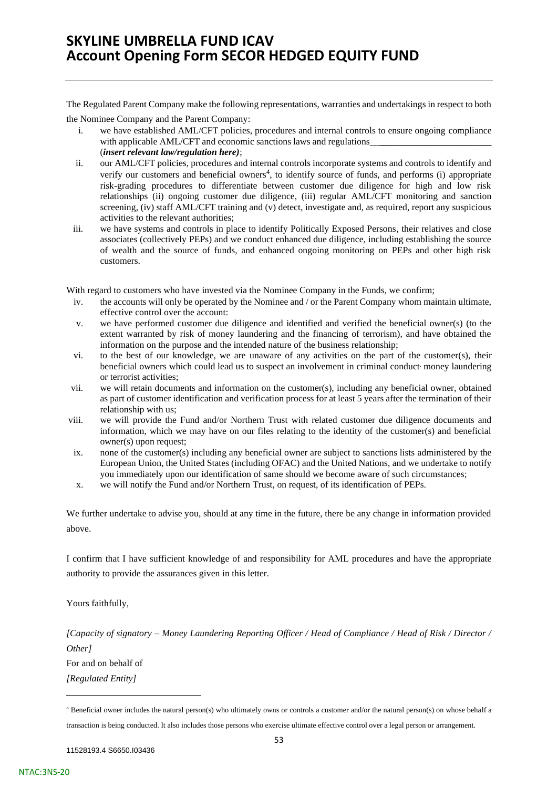The Regulated Parent Company make the following representations, warranties and undertakings in respect to both the Nominee Company and the Parent Company:

- i. we have established AML/CFT policies, procedures and internal controls to ensure ongoing compliance with applicable AML/CFT and economic sanctions laws and regulations (*insert relevant law/regulation here)*;
- ii. our AML/CFT policies, procedures and internal controls incorporate systems and controls to identify and verify our customers and beneficial owners<sup>4</sup>, to identify source of funds, and performs (i) appropriate risk-grading procedures to differentiate between customer due diligence for high and low risk relationships (ii) ongoing customer due diligence, (iii) regular AML/CFT monitoring and sanction screening, (iv) staff AML/CFT training and (v) detect, investigate and, as required, report any suspicious activities to the relevant authorities;
- iii. we have systems and controls in place to identify Politically Exposed Persons, their relatives and close associates (collectively PEPs) and we conduct enhanced due diligence, including establishing the source of wealth and the source of funds, and enhanced ongoing monitoring on PEPs and other high risk customers.

With regard to customers who have invested via the Nominee Company in the Funds, we confirm;

- iv. the accounts will only be operated by the Nominee and / or the Parent Company whom maintain ultimate, effective control over the account:
- v. we have performed customer due diligence and identified and verified the beneficial owner(s) (to the extent warranted by risk of money laundering and the financing of terrorism), and have obtained the information on the purpose and the intended nature of the business relationship;
- vi. to the best of our knowledge, we are unaware of any activities on the part of the customer(s), their beneficial owners which could lead us to suspect an involvement in criminal conduct' money laundering or terrorist activities;
- vii. we will retain documents and information on the customer(s), including any beneficial owner, obtained as part of customer identification and verification process for at least 5 years after the termination of their relationship with us;
- viii. we will provide the Fund and/or Northern Trust with related customer due diligence documents and information, which we may have on our files relating to the identity of the customer(s) and beneficial owner(s) upon request;
- ix. none of the customer(s) including any beneficial owner are subject to sanctions lists administered by the European Union, the United States (including OFAC) and the United Nations, and we undertake to notify you immediately upon our identification of same should we become aware of such circumstances;
- x. we will notify the Fund and/or Northern Trust, on request, of its identification of PEPs.

We further undertake to advise you, should at any time in the future, there be any change in information provided above.

I confirm that I have sufficient knowledge of and responsibility for AML procedures and have the appropriate authority to provide the assurances given in this letter.

Yours faithfully,

*[Capacity of signatory – Money Laundering Reporting Officer / Head of Compliance / Head of Risk / Director / Other]*

For and on behalf of *[Regulated Entity]*

<sup>4</sup> Beneficial owner includes the natural person(s) who ultimately owns or controls a customer and/or the natural person(s) on whose behalf a transaction is being conducted. It also includes those persons who exercise ultimate effective control over a legal person or arrangement.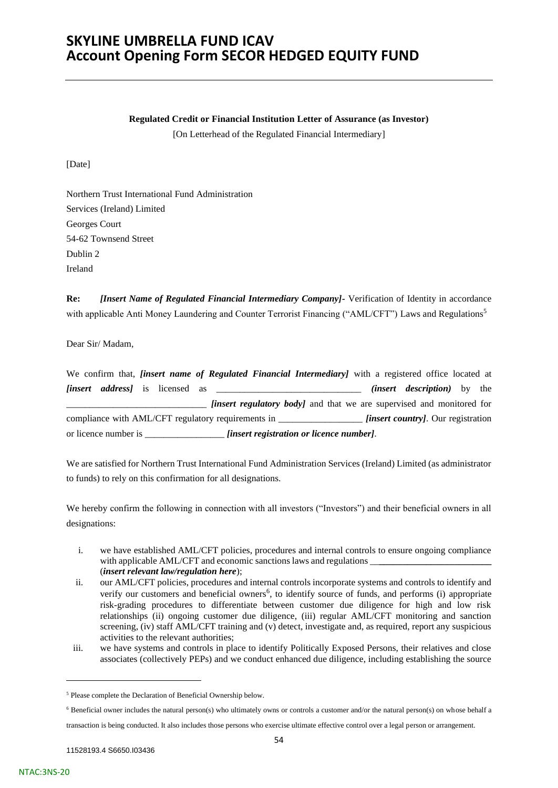#### **Regulated Credit or Financial Institution Letter of Assurance (as Investor)**

[On Letterhead of the Regulated Financial Intermediary]

[Date]

Northern Trust International Fund Administration Services (Ireland) Limited Georges Court 54-62 Townsend Street Dublin 2 Ireland

**Re:** *[Insert Name of Regulated Financial Intermediary Company]-* Verification of Identity in accordance with applicable Anti Money Laundering and Counter Terrorist Financing ("AML/CFT") Laws and Regulations<sup>5</sup>

Dear Sir/ Madam,

| We confirm that, <i>finsert name of Regulated Financial Intermediary</i> with a registered office located at |  |                                                                              |                                           |  |
|--------------------------------------------------------------------------------------------------------------|--|------------------------------------------------------------------------------|-------------------------------------------|--|
|                                                                                                              |  |                                                                              | <i>(insert description)</i> by the        |  |
|                                                                                                              |  | <i>finsert regulatory body]</i> and that we are supervised and monitored for |                                           |  |
| compliance with AML/CFT regulatory requirements in                                                           |  |                                                                              | <i>linsert countryl.</i> Our registration |  |
| or licence number is ______                                                                                  |  | <i>[insert registration or licence number].</i>                              |                                           |  |

We are satisfied for Northern Trust International Fund Administration Services (Ireland) Limited (as administrator to funds) to rely on this confirmation for all designations.

We hereby confirm the following in connection with all investors ("Investors") and their beneficial owners in all designations:

- i. we have established AML/CFT policies, procedures and internal controls to ensure ongoing compliance with applicable AML/CFT and economic sanctions laws and regulations \_ (*insert relevant law/regulation here*);
- ii. our AML/CFT policies, procedures and internal controls incorporate systems and controls to identify and verify our customers and beneficial owners<sup>6</sup>, to identify source of funds, and performs (i) appropriate risk-grading procedures to differentiate between customer due diligence for high and low risk relationships (ii) ongoing customer due diligence, (iii) regular AML/CFT monitoring and sanction screening, (iv) staff AML/CFT training and (v) detect, investigate and, as required, report any suspicious activities to the relevant authorities;
- iii. we have systems and controls in place to identify Politically Exposed Persons, their relatives and close associates (collectively PEPs) and we conduct enhanced due diligence, including establishing the source

<sup>6</sup> Beneficial owner includes the natural person(s) who ultimately owns or controls a customer and/or the natural person(s) on whose behalf a

transaction is being conducted. It also includes those persons who exercise ultimate effective control over a legal person or arrangement.

<sup>5</sup> Please complete the Declaration of Beneficial Ownership below.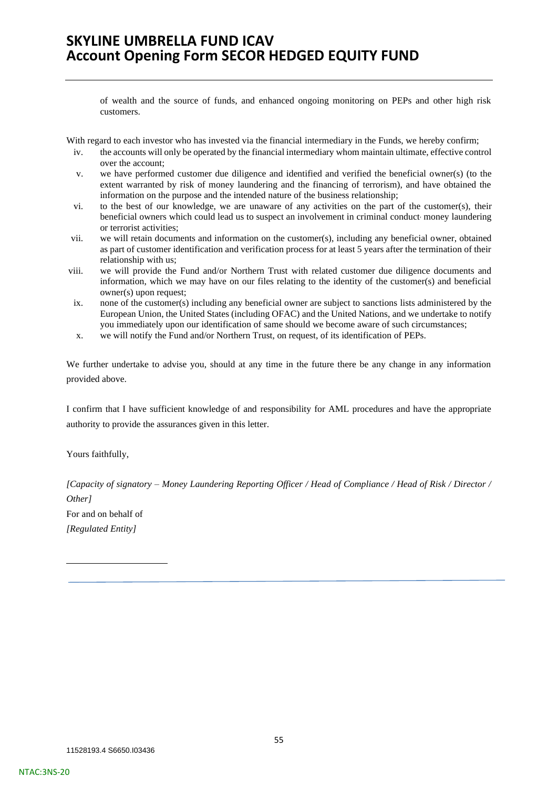of wealth and the source of funds, and enhanced ongoing monitoring on PEPs and other high risk customers.

With regard to each investor who has invested via the financial intermediary in the Funds, we hereby confirm;

- iv. the accounts will only be operated by the financial intermediary whom maintain ultimate, effective control over the account;
- v. we have performed customer due diligence and identified and verified the beneficial owner(s) (to the extent warranted by risk of money laundering and the financing of terrorism), and have obtained the information on the purpose and the intended nature of the business relationship;
- vi. to the best of our knowledge, we are unaware of any activities on the part of the customer(s), their beneficial owners which could lead us to suspect an involvement in criminal conduct' money laundering or terrorist activities;
- vii. we will retain documents and information on the customer(s), including any beneficial owner, obtained as part of customer identification and verification process for at least 5 years after the termination of their relationship with us;
- viii. we will provide the Fund and/or Northern Trust with related customer due diligence documents and information, which we may have on our files relating to the identity of the customer(s) and beneficial owner(s) upon request;
- ix. none of the customer(s) including any beneficial owner are subject to sanctions lists administered by the European Union, the United States (including OFAC) and the United Nations, and we undertake to notify you immediately upon our identification of same should we become aware of such circumstances;
- x. we will notify the Fund and/or Northern Trust, on request, of its identification of PEPs.

We further undertake to advise you, should at any time in the future there be any change in any information provided above.

I confirm that I have sufficient knowledge of and responsibility for AML procedures and have the appropriate authority to provide the assurances given in this letter.

Yours faithfully,

*[Capacity of signatory – Money Laundering Reporting Officer / Head of Compliance / Head of Risk / Director / Other]* For and on behalf of *[Regulated Entity]*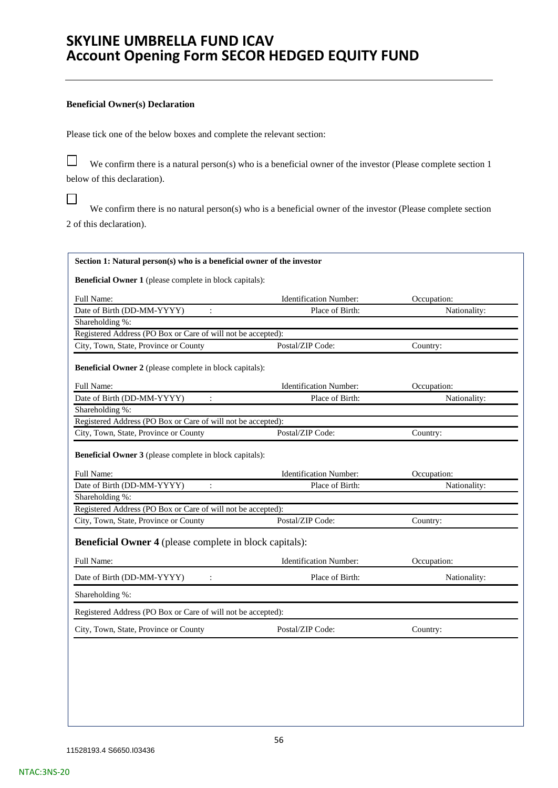#### **Beneficial Owner(s) Declaration**

Please tick one of the below boxes and complete the relevant section:

 $\Box$  We confirm there is a natural person(s) who is a beneficial owner of the investor (Please complete section 1 below of this declaration).

 $\Box$ We confirm there is no natural person(s) who is a beneficial owner of the investor (Please complete section 2 of this declaration).

| Full Name:                                                                                                                                                                   | <b>Identification Number:</b>                     | Occupation:             |
|------------------------------------------------------------------------------------------------------------------------------------------------------------------------------|---------------------------------------------------|-------------------------|
| Date of Birth (DD-MM-YYYY)                                                                                                                                                   | Place of Birth:                                   | Nationality:            |
| Shareholding %:                                                                                                                                                              |                                                   |                         |
| Registered Address (PO Box or Care of will not be accepted):                                                                                                                 |                                                   |                         |
| City, Town, State, Province or County                                                                                                                                        | Postal/ZIP Code:                                  | Country:                |
| <b>Beneficial Owner 2</b> (please complete in block capitals):                                                                                                               |                                                   |                         |
| Full Name:                                                                                                                                                                   | <b>Identification Number:</b>                     | Occupation:             |
| Date of Birth (DD-MM-YYYY)<br>$\ddot{\cdot}$                                                                                                                                 | Place of Birth:                                   | Nationality:            |
| Shareholding %:                                                                                                                                                              |                                                   |                         |
|                                                                                                                                                                              |                                                   |                         |
| Registered Address (PO Box or Care of will not be accepted):                                                                                                                 |                                                   |                         |
|                                                                                                                                                                              | Postal/ZIP Code:<br><b>Identification Number:</b> | Country:<br>Occupation: |
| City, Town, State, Province or County<br><b>Beneficial Owner 3</b> (please complete in block capitals):<br><b>Full Name:</b><br>Date of Birth (DD-MM-YYYY)<br>$\ddot{\cdot}$ | Place of Birth:                                   | Nationality:            |
|                                                                                                                                                                              |                                                   |                         |
| Shareholding %:<br>Registered Address (PO Box or Care of will not be accepted):                                                                                              |                                                   |                         |
| City, Town, State, Province or County                                                                                                                                        | Postal/ZIP Code:                                  | Country:                |
| <b>Beneficial Owner 4</b> (please complete in block capitals):                                                                                                               |                                                   |                         |
| Full Name:                                                                                                                                                                   | Identification Number:                            | Occupation:             |
| Date of Birth (DD-MM-YYYY)                                                                                                                                                   | Place of Birth:                                   | Nationality:            |
| Shareholding %:                                                                                                                                                              |                                                   |                         |
| Registered Address (PO Box or Care of will not be accepted):                                                                                                                 |                                                   |                         |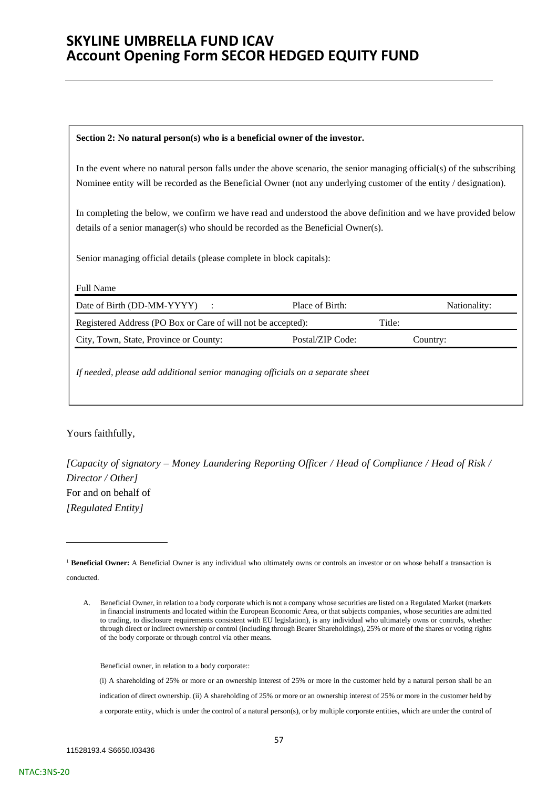### **Section 2: No natural person(s) who is a beneficial owner of the investor.**

In the event where no natural person falls under the above scenario, the senior managing official(s) of the subscribing Nominee entity will be recorded as the Beneficial Owner (not any underlying customer of the entity / designation).

In completing the below, we confirm we have read and understood the above definition and we have provided below details of a senior manager(s) who should be recorded as the Beneficial Owner(s).

Senior managing official details (please complete in block capitals):

| Date of Birth (DD-MM-YYYY) :                                 | Place of Birth:  |        | Nationality: |
|--------------------------------------------------------------|------------------|--------|--------------|
| Registered Address (PO Box or Care of will not be accepted): |                  | Title: |              |
| City, Town, State, Province or County:                       | Postal/ZIP Code: |        | Country:     |

# Yours faithfully,

*[Capacity of signatory – Money Laundering Reporting Officer / Head of Compliance / Head of Risk / Director / Other]* For and on behalf of *[Regulated Entity]*

Beneficial owner, in relation to a body corporate::

<sup>&</sup>lt;sup>1</sup> Beneficial Owner: A Beneficial Owner is any individual who ultimately owns or controls an investor or on whose behalf a transaction is conducted.

A. Beneficial Owner, in relation to a body corporate which is not a company whose securities are listed on a Regulated Market (markets in financial instruments and located within the European Economic Area, or that subjects companies, whose securities are admitted to trading, to disclosure requirements consistent with EU legislation), is any individual who ultimately owns or controls, whether through direct or indirect ownership or control (including through Bearer Shareholdings), 25% or more of the shares or voting rights of the body corporate or through control via other means.

<sup>(</sup>i) A shareholding of 25% or more or an ownership interest of 25% or more in the customer held by a natural person shall be an indication of direct ownership. (ii) A shareholding of 25% or more or an ownership interest of 25% or more in the customer held by a corporate entity, which is under the control of a natural person(s), or by multiple corporate entities, which are under the control of